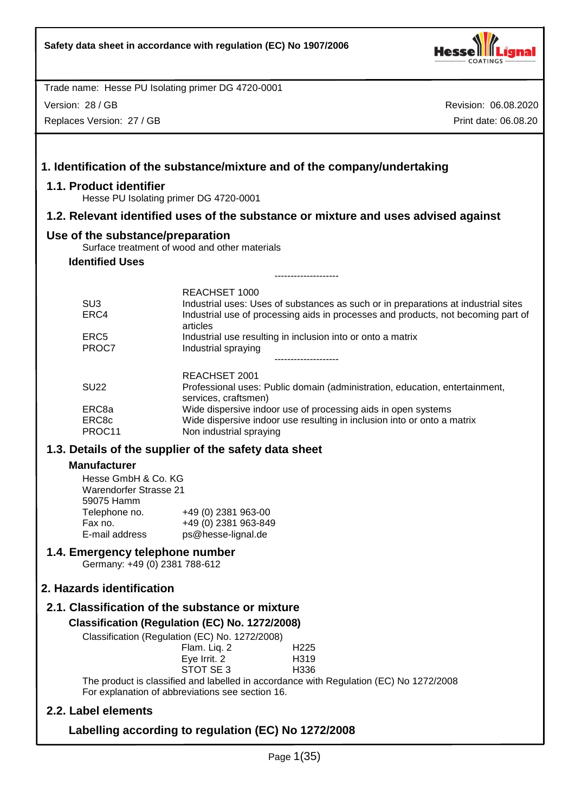

Version: 28 / GB

Replaces Version: 27 / GB

| 1.1. Product identifier                                            | 1. Identification of the substance/mixture and of the company/undertaking                                                                                                                                   |
|--------------------------------------------------------------------|-------------------------------------------------------------------------------------------------------------------------------------------------------------------------------------------------------------|
|                                                                    | Hesse PU Isolating primer DG 4720-0001                                                                                                                                                                      |
|                                                                    | 1.2. Relevant identified uses of the substance or mixture and uses advised against                                                                                                                          |
| Use of the substance/preparation                                   | Surface treatment of wood and other materials                                                                                                                                                               |
| <b>Identified Uses</b>                                             |                                                                                                                                                                                                             |
|                                                                    |                                                                                                                                                                                                             |
| SU <sub>3</sub><br>ERC4                                            | <b>REACHSET 1000</b><br>Industrial uses: Uses of substances as such or in preparations at industrial sites<br>Industrial use of processing aids in processes and products, not becoming part of<br>articles |
| ERC <sub>5</sub><br>PROC7                                          | Industrial use resulting in inclusion into or onto a matrix<br>Industrial spraying                                                                                                                          |
| <b>SU22</b>                                                        | REACHSET 2001<br>Professional uses: Public domain (administration, education, entertainment,<br>services, craftsmen)                                                                                        |
| ERC8a<br>ERC8c<br>PROC11                                           | Wide dispersive indoor use of processing aids in open systems<br>Wide dispersive indoor use resulting in inclusion into or onto a matrix<br>Non industrial spraying                                         |
|                                                                    | 1.3. Details of the supplier of the safety data sheet                                                                                                                                                       |
| <b>Manufacturer</b>                                                |                                                                                                                                                                                                             |
| Hesse GmbH & Co. KG<br><b>Warendorfer Strasse 21</b><br>59075 Hamm |                                                                                                                                                                                                             |
| Telephone no.<br>Fax no.<br>E-mail address                         | +49 (0) 2381 963-00<br>+49 (0) 2381 963-849<br>ps@hesse-lignal.de                                                                                                                                           |
| 1.4. Emergency telephone number                                    | Germany: +49 (0) 2381 788-612                                                                                                                                                                               |
| 2. Hazards identification                                          |                                                                                                                                                                                                             |
|                                                                    | 2.1. Classification of the substance or mixture                                                                                                                                                             |
|                                                                    | Classification (Regulation (EC) No. 1272/2008)<br>Classification (Regulation (EC) No. 1272/2008)                                                                                                            |
|                                                                    | Flam. Liq. 2<br>H225<br>Eye Irrit. 2<br>H319<br>STOT SE3<br>H <sub>336</sub><br>The product is classified and labelled in accordance with Regulation (EC) No 1272/2008                                      |
|                                                                    | For explanation of abbreviations see section 16.                                                                                                                                                            |
| 2.2. Label elements                                                |                                                                                                                                                                                                             |
|                                                                    | $1 - 1$ , $\sqrt{2}$ $(1 - \sqrt{2})$ $(1 - \sqrt{2})$ $(0.70000$                                                                                                                                           |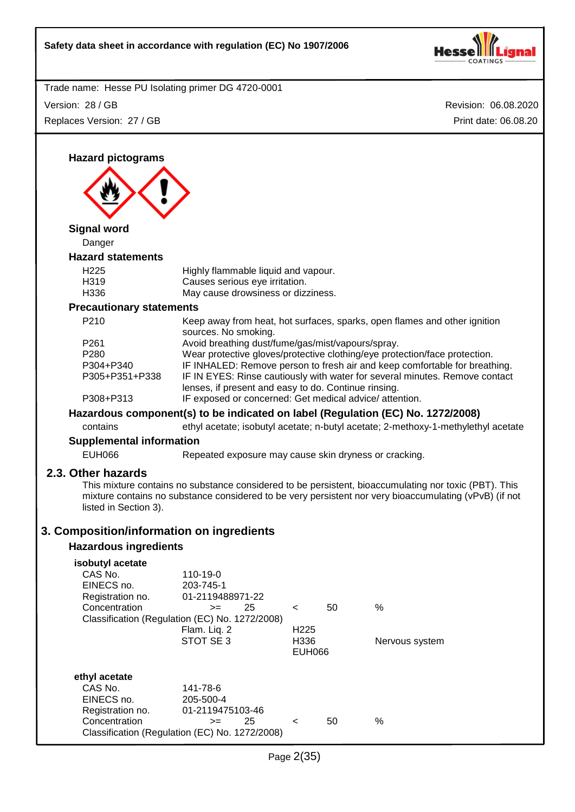

Revision: 06.08.2020 Trade name: Hesse PU Isolating primer DG 4720-0001 Print date: 06.08.20 Version: 28 / GB Replaces Version: 27 / GB Page 2(35) **Hazard pictograms Signal word** Danger **Hazard statements** H225 Highly flammable liquid and vapour. H319 Causes serious eye irritation. H336 May cause drowsiness or dizziness. **Precautionary statements** P210 Keep away from heat, hot surfaces, sparks, open flames and other ignition sources. No smoking. P261 Avoid breathing dust/fume/gas/mist/vapours/spray. P280 Wear protective gloves/protective clothing/eye protection/face protection. P304+P340 IF INHALED: Remove person to fresh air and keep comfortable for breathing. P305+P351+P338 IF IN EYES: Rinse cautiously with water for several minutes. Remove contact lenses, if present and easy to do. Continue rinsing. P308+P313 IF exposed or concerned: Get medical advice/ attention. **Hazardous component(s) to be indicated on label (Regulation (EC) No. 1272/2008)** contains ethyl acetate; isobutyl acetate; n-butyl acetate; 2-methoxy-1-methylethyl acetate **Supplemental information** EUH066 Repeated exposure may cause skin dryness or cracking. **2.3. Other hazards** This mixture contains no substance considered to be persistent, bioaccumulating nor toxic (PBT). This mixture contains no substance considered to be very persistent nor very bioaccumulating (vPvB) (if not listed in Section 3). **3. Composition/information on ingredients Hazardous ingredients isobutyl acetate** 110-19-0 EINECS no. 203-745-1<br>Registration no. 01-211948 01-2119488971-22  $\text{Concentration}$   $\text{>=}$  25 < 50 % Classification (Regulation (EC) No. 1272/2008) Flam. Liq. 2 H225 STOT SE 3 H336 Nervous system EUH066 **ethyl acetate** CAS No. 141-78-6 EINECS no. 205-500-4 Registration no. 01-2119475103-46 Concentration  $\rightarrow$  25 < 50 % Classification (Regulation (EC) No. 1272/2008)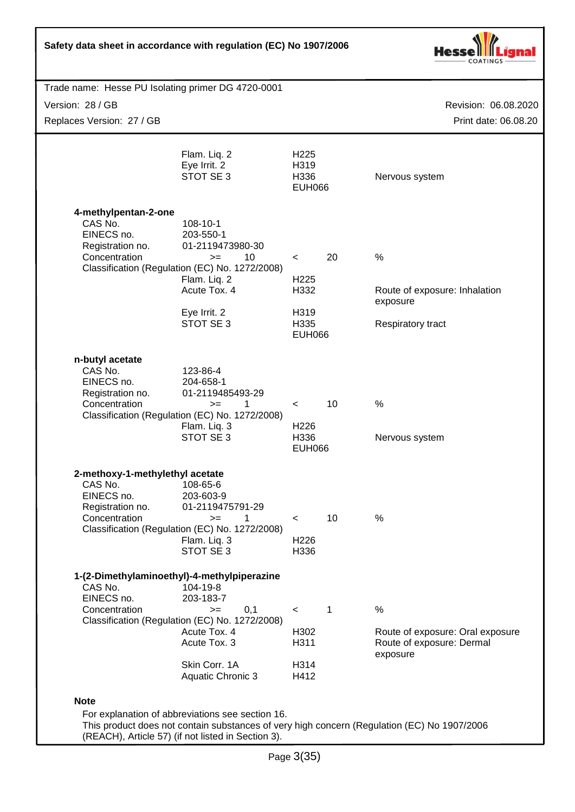| Safety data sheet in accordance with regulation (EC) No 1907/2006                             |                                                                                                                                                                        |                                                                      |             |                                                                                             |
|-----------------------------------------------------------------------------------------------|------------------------------------------------------------------------------------------------------------------------------------------------------------------------|----------------------------------------------------------------------|-------------|---------------------------------------------------------------------------------------------|
| Trade name: Hesse PU Isolating primer DG 4720-0001                                            |                                                                                                                                                                        |                                                                      |             |                                                                                             |
| Version: 28 / GB                                                                              |                                                                                                                                                                        |                                                                      |             | Revision: 06.08.2020                                                                        |
| Replaces Version: 27 / GB                                                                     |                                                                                                                                                                        |                                                                      |             | Print date: 06.08.20                                                                        |
|                                                                                               |                                                                                                                                                                        |                                                                      |             |                                                                                             |
|                                                                                               | Flam. Liq. 2<br>Eye Irrit. 2<br>STOT SE 3                                                                                                                              | H <sub>225</sub><br>H319<br>H336<br><b>EUH066</b>                    |             | Nervous system                                                                              |
| 4-methylpentan-2-one<br>CAS No.<br>EINECS no.<br>Registration no.<br>Concentration            | 108-10-1<br>203-550-1<br>01-2119473980-30<br>10<br>$>=$<br>Classification (Regulation (EC) No. 1272/2008)<br>Flam. Liq. 2<br>Acute Tox. 4<br>Eye Irrit. 2<br>STOT SE 3 | $\prec$<br>H <sub>225</sub><br>H332<br>H319<br>H335<br><b>EUH066</b> | 20          | $\%$<br>Route of exposure: Inhalation<br>exposure<br>Respiratory tract                      |
| n-butyl acetate<br>CAS No.<br>EINECS no.<br>Registration no.<br>Concentration                 | 123-86-4<br>204-658-1<br>01-2119485493-29<br>1<br>$>=$<br>Classification (Regulation (EC) No. 1272/2008)<br>Flam. Liq. 3<br>STOT SE 3                                  | $\lt$<br>H <sub>226</sub><br>H336<br><b>EUH066</b>                   | 10          | %<br>Nervous system                                                                         |
| 2-methoxy-1-methylethyl acetate<br>CAS No.<br>EINECS no.<br>Registration no.<br>Concentration | 108-65-6<br>203-603-9<br>01-2119475791-29<br>1<br>$>=$<br>Classification (Regulation (EC) No. 1272/2008)<br>Flam. Liq. 3<br>STOT SE 3                                  | $\prec$<br>H <sub>226</sub><br>H336                                  | 10          | $\%$                                                                                        |
| 1-(2-Dimethylaminoethyl)-4-methylpiperazine<br>CAS No.<br>EINECS no.<br>Concentration         | 104-19-8<br>203-183-7<br>0,1<br>$>=$<br>Classification (Regulation (EC) No. 1272/2008)<br>Acute Tox. 4<br>Acute Tox. 3<br>Skin Corr. 1A<br><b>Aquatic Chronic 3</b>    | $\prec$<br>H302<br>H311<br>H314<br>H412                              | $\mathbf 1$ | $\%$<br>Route of exposure: Oral exposure<br>Route of exposure: Dermal<br>exposure           |
| <b>Note</b>                                                                                   | For explanation of abbreviations see section 16.<br>(REACH), Article 57) (if not listed in Section 3).                                                                 |                                                                      |             | This product does not contain substances of very high concern (Regulation (EC) No 1907/2006 |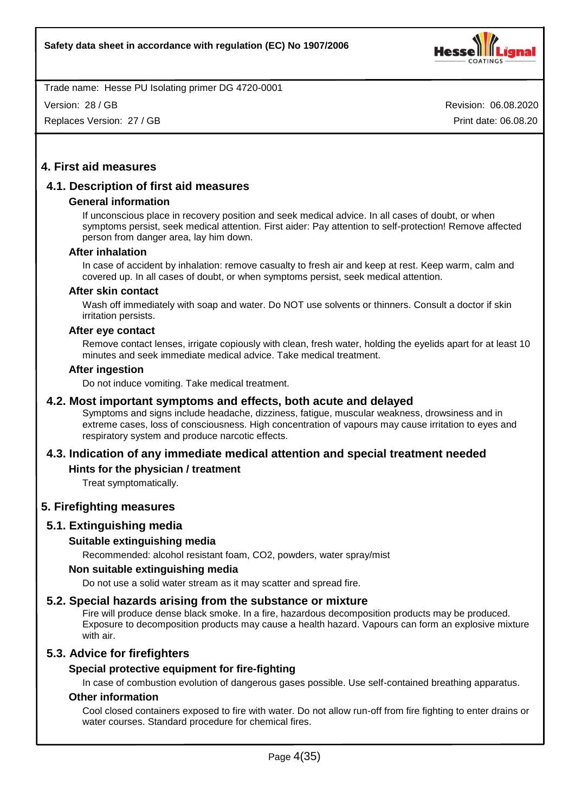

Version: 28 / GB

Replaces Version: 27 / GB

Revision: 06.08.2020 Print date: 06.08.20

# **4. First aid measures**

# **4.1. Description of first aid measures**

# **General information**

If unconscious place in recovery position and seek medical advice. In all cases of doubt, or when symptoms persist, seek medical attention. First aider: Pay attention to self-protection! Remove affected person from danger area, lay him down.

#### **After inhalation**

In case of accident by inhalation: remove casualty to fresh air and keep at rest. Keep warm, calm and covered up. In all cases of doubt, or when symptoms persist, seek medical attention.

#### **After skin contact**

Wash off immediately with soap and water. Do NOT use solvents or thinners. Consult a doctor if skin irritation persists.

#### **After eye contact**

Remove contact lenses, irrigate copiously with clean, fresh water, holding the eyelids apart for at least 10 minutes and seek immediate medical advice. Take medical treatment.

#### **After ingestion**

Do not induce vomiting. Take medical treatment.

# **4.2. Most important symptoms and effects, both acute and delayed**

Symptoms and signs include headache, dizziness, fatigue, muscular weakness, drowsiness and in extreme cases, loss of consciousness. High concentration of vapours may cause irritation to eyes and respiratory system and produce narcotic effects.

# **4.3. Indication of any immediate medical attention and special treatment needed**

# **Hints for the physician / treatment**

Treat symptomatically.

# **5. Firefighting measures**

# **5.1. Extinguishing media**

# **Suitable extinguishing media**

Recommended: alcohol resistant foam, CO2, powders, water spray/mist

#### **Non suitable extinguishing media**

Do not use a solid water stream as it may scatter and spread fire.

# **5.2. Special hazards arising from the substance or mixture**

Fire will produce dense black smoke. In a fire, hazardous decomposition products may be produced. Exposure to decomposition products may cause a health hazard. Vapours can form an explosive mixture with air.

# **5.3. Advice for firefighters**

# **Special protective equipment for fire-fighting**

In case of combustion evolution of dangerous gases possible. Use self-contained breathing apparatus.

# **Other information**

Cool closed containers exposed to fire with water. Do not allow run-off from fire fighting to enter drains or water courses. Standard procedure for chemical fires.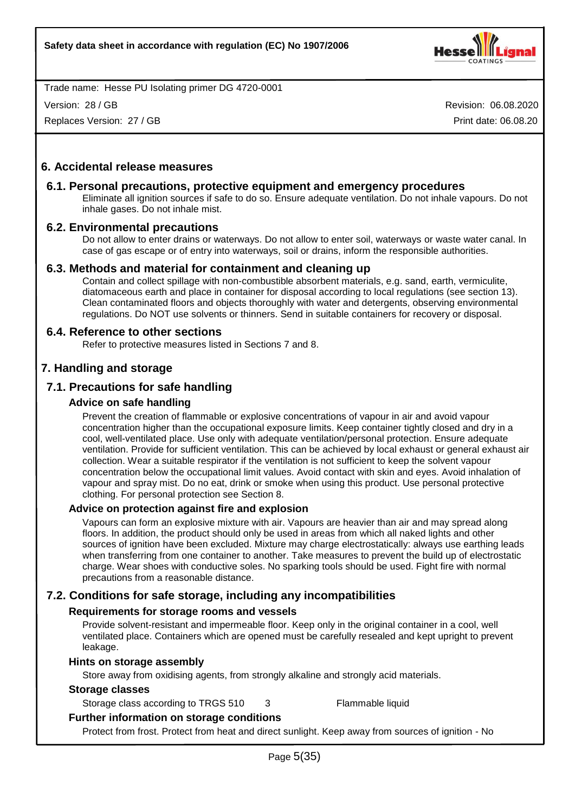

Version: 28 / GB

Replaces Version: 27 / GB

Revision: 06.08.2020 Print date: 06.08.20

# **6. Accidental release measures**

#### **6.1. Personal precautions, protective equipment and emergency procedures**

Eliminate all ignition sources if safe to do so. Ensure adequate ventilation. Do not inhale vapours. Do not inhale gases. Do not inhale mist.

#### **6.2. Environmental precautions**

Do not allow to enter drains or waterways. Do not allow to enter soil, waterways or waste water canal. In case of gas escape or of entry into waterways, soil or drains, inform the responsible authorities.

#### **6.3. Methods and material for containment and cleaning up**

Contain and collect spillage with non-combustible absorbent materials, e.g. sand, earth, vermiculite, diatomaceous earth and place in container for disposal according to local regulations (see section 13). Clean contaminated floors and objects thoroughly with water and detergents, observing environmental regulations. Do NOT use solvents or thinners. Send in suitable containers for recovery or disposal.

# **6.4. Reference to other sections**

Refer to protective measures listed in Sections 7 and 8.

# **7. Handling and storage**

# **7.1. Precautions for safe handling**

#### **Advice on safe handling**

Prevent the creation of flammable or explosive concentrations of vapour in air and avoid vapour concentration higher than the occupational exposure limits. Keep container tightly closed and dry in a cool, well-ventilated place. Use only with adequate ventilation/personal protection. Ensure adequate ventilation. Provide for sufficient ventilation. This can be achieved by local exhaust or general exhaust air collection. Wear a suitable respirator if the ventilation is not sufficient to keep the solvent vapour concentration below the occupational limit values. Avoid contact with skin and eyes. Avoid inhalation of vapour and spray mist. Do no eat, drink or smoke when using this product. Use personal protective clothing. For personal protection see Section 8.

#### **Advice on protection against fire and explosion**

Vapours can form an explosive mixture with air. Vapours are heavier than air and may spread along floors. In addition, the product should only be used in areas from which all naked lights and other sources of ignition have been excluded. Mixture may charge electrostatically: always use earthing leads when transferring from one container to another. Take measures to prevent the build up of electrostatic charge. Wear shoes with conductive soles. No sparking tools should be used. Fight fire with normal precautions from a reasonable distance.

# **7.2. Conditions for safe storage, including any incompatibilities**

# **Requirements for storage rooms and vessels**

Provide solvent-resistant and impermeable floor. Keep only in the original container in a cool, well ventilated place. Containers which are opened must be carefully resealed and kept upright to prevent leakage.

#### **Hints on storage assembly**

Store away from oxidising agents, from strongly alkaline and strongly acid materials.

#### **Storage classes**

Storage class according to TRGS 510 3 Flammable liquid

# **Further information on storage conditions**

Protect from frost. Protect from heat and direct sunlight. Keep away from sources of ignition - No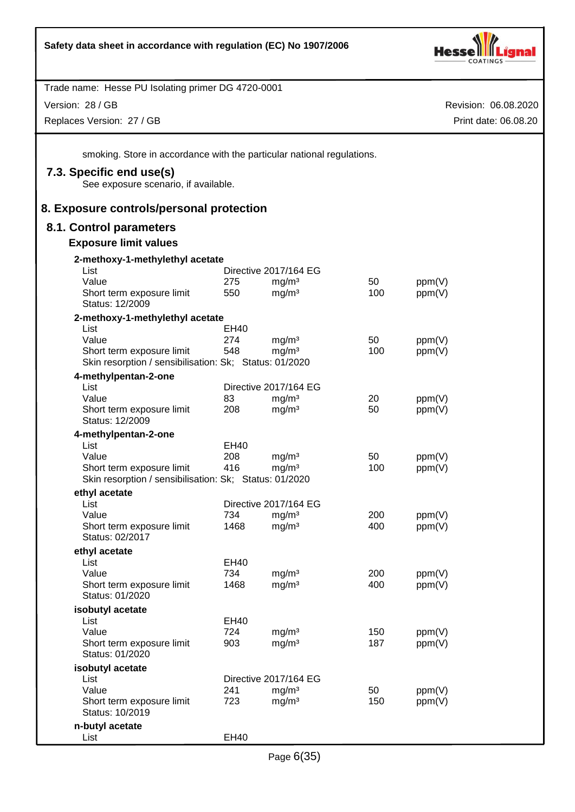

Version: 28 / GB

Replaces Version: 27 / GB

Revision: 06.08.2020 Print date: 06.08.20

smoking. Store in accordance with the particular national regulations.

# **7.3. Specific end use(s)**

See exposure scenario, if available.

# **8. Exposure controls/personal protection**

# **8.1. Control parameters**

#### **Exposure limit values**

| 2-methoxy-1-methylethyl acetate                        |             |                       |     |        |
|--------------------------------------------------------|-------------|-----------------------|-----|--------|
| List                                                   |             | Directive 2017/164 EG |     |        |
| Value                                                  | 275         | mg/m <sup>3</sup>     | 50  | ppm(V) |
| Short term exposure limit                              | 550         | mg/m <sup>3</sup>     | 100 | ppm(V) |
| Status: 12/2009                                        |             |                       |     |        |
| 2-methoxy-1-methylethyl acetate                        |             |                       |     |        |
| List                                                   | EH40        |                       |     |        |
| Value                                                  | 274         | mg/m <sup>3</sup>     | 50  | ppm(V) |
| Short term exposure limit                              | 548         | mg/m <sup>3</sup>     | 100 | ppm(V) |
| Skin resorption / sensibilisation: Sk; Status: 01/2020 |             |                       |     |        |
| 4-methylpentan-2-one                                   |             |                       |     |        |
| List                                                   |             | Directive 2017/164 EG |     |        |
| Value                                                  | 83          | mg/m <sup>3</sup>     | 20  | ppm(V) |
| Short term exposure limit                              | 208         | mg/m <sup>3</sup>     | 50  | ppm(V) |
| Status: 12/2009                                        |             |                       |     |        |
| 4-methylpentan-2-one                                   |             |                       |     |        |
| List                                                   | EH40        |                       |     |        |
| Value                                                  | 208         | mg/m <sup>3</sup>     | 50  | ppm(V) |
| Short term exposure limit                              | 416         | mg/m <sup>3</sup>     | 100 | ppm(V) |
| Skin resorption / sensibilisation: Sk; Status: 01/2020 |             |                       |     |        |
| ethyl acetate                                          |             |                       |     |        |
| List                                                   |             | Directive 2017/164 EG |     |        |
| Value                                                  | 734         | mg/m <sup>3</sup>     | 200 | ppm(V) |
| Short term exposure limit                              | 1468        | mg/m <sup>3</sup>     | 400 | ppm(V) |
| Status: 02/2017                                        |             |                       |     |        |
| ethyl acetate                                          |             |                       |     |        |
| List                                                   | <b>EH40</b> |                       |     |        |
| Value                                                  | 734         | mg/m <sup>3</sup>     | 200 | ppm(V) |
| Short term exposure limit                              | 1468        | mg/m <sup>3</sup>     | 400 | ppm(V) |
| Status: 01/2020                                        |             |                       |     |        |
| isobutyl acetate                                       |             |                       |     |        |
| List                                                   | EH40        |                       |     |        |
| Value                                                  | 724         | mg/m <sup>3</sup>     | 150 | ppm(V) |
| Short term exposure limit                              | 903         | mg/m <sup>3</sup>     | 187 | ppm(V) |
| Status: 01/2020                                        |             |                       |     |        |
| isobutyl acetate                                       |             |                       |     |        |
| List                                                   |             | Directive 2017/164 EG |     |        |
| Value                                                  | 241         | mg/m <sup>3</sup>     | 50  | ppm(V) |
| Short term exposure limit                              | 723         | mg/m <sup>3</sup>     | 150 | ppm(V) |
| Status: 10/2019                                        |             |                       |     |        |
| n-butyl acetate                                        |             |                       |     |        |
| List                                                   | <b>EH40</b> |                       |     |        |
|                                                        |             |                       |     |        |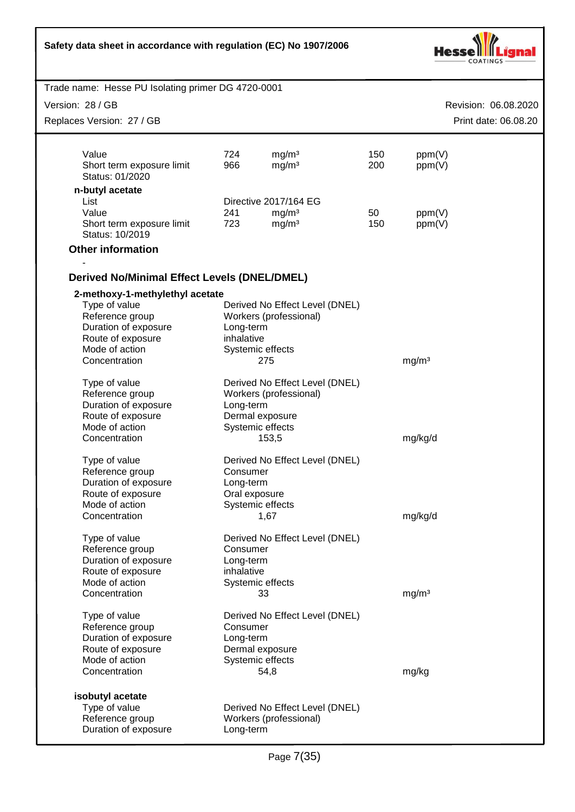| Safety data sheet in accordance with regulation (EC) No 1907/2006                                                                                   |                                        |                                                                                                 |            |                   |                      |
|-----------------------------------------------------------------------------------------------------------------------------------------------------|----------------------------------------|-------------------------------------------------------------------------------------------------|------------|-------------------|----------------------|
| Trade name: Hesse PU Isolating primer DG 4720-0001                                                                                                  |                                        |                                                                                                 |            |                   |                      |
| Version: 28 / GB                                                                                                                                    |                                        |                                                                                                 |            |                   | Revision: 06.08.2020 |
| Replaces Version: 27 / GB                                                                                                                           |                                        |                                                                                                 |            |                   | Print date: 06.08.20 |
|                                                                                                                                                     |                                        |                                                                                                 |            |                   |                      |
| Value<br>Short term exposure limit<br>Status: 01/2020                                                                                               | 724<br>966                             | mg/m <sup>3</sup><br>mg/m <sup>3</sup>                                                          | 150<br>200 | ppm(V)<br>ppm(V)  |                      |
| n-butyl acetate                                                                                                                                     |                                        |                                                                                                 |            |                   |                      |
| List<br>Value                                                                                                                                       | 241                                    | Directive 2017/164 EG<br>mg/m <sup>3</sup>                                                      | 50         | ppm(V)            |                      |
| Short term exposure limit<br>Status: 10/2019                                                                                                        | 723                                    | mg/m <sup>3</sup>                                                                               | 150        | ppm(V)            |                      |
| <b>Other information</b>                                                                                                                            |                                        |                                                                                                 |            |                   |                      |
|                                                                                                                                                     |                                        |                                                                                                 |            |                   |                      |
| <b>Derived No/Minimal Effect Levels (DNEL/DMEL)</b>                                                                                                 |                                        |                                                                                                 |            |                   |                      |
| 2-methoxy-1-methylethyl acetate<br>Type of value<br>Reference group<br>Duration of exposure<br>Route of exposure<br>Mode of action<br>Concentration | Long-term<br>inhalative                | Derived No Effect Level (DNEL)<br>Workers (professional)<br>Systemic effects<br>275             |            | mg/m <sup>3</sup> |                      |
| Type of value<br>Reference group<br>Duration of exposure<br>Route of exposure<br>Mode of action                                                     | Long-term                              | Derived No Effect Level (DNEL)<br>Workers (professional)<br>Dermal exposure<br>Systemic effects |            |                   |                      |
| Concentration                                                                                                                                       |                                        | 153,5                                                                                           |            | mg/kg/d           |                      |
| Type of value<br>Reference group<br>Duration of exposure<br>Route of exposure<br>Mode of action                                                     | Consumer<br>Long-term<br>Oral exposure | Derived No Effect Level (DNEL)<br>Systemic effects                                              |            |                   |                      |
| Concentration                                                                                                                                       |                                        | 1,67                                                                                            |            | mg/kg/d           |                      |
| Type of value<br>Reference group<br>Duration of exposure<br>Route of exposure<br>Mode of action<br>Concentration                                    | Consumer<br>Long-term<br>inhalative    | Derived No Effect Level (DNEL)<br>Systemic effects<br>33                                        |            | mg/m <sup>3</sup> |                      |
| Type of value                                                                                                                                       |                                        | Derived No Effect Level (DNEL)                                                                  |            |                   |                      |
| Reference group<br>Duration of exposure<br>Route of exposure<br>Mode of action<br>Concentration                                                     | Consumer<br>Long-term                  | Dermal exposure<br>Systemic effects<br>54,8                                                     |            | mg/kg             |                      |
| isobutyl acetate<br>Type of value<br>Reference group<br>Duration of exposure                                                                        | Long-term                              | Derived No Effect Level (DNEL)<br>Workers (professional)                                        |            |                   |                      |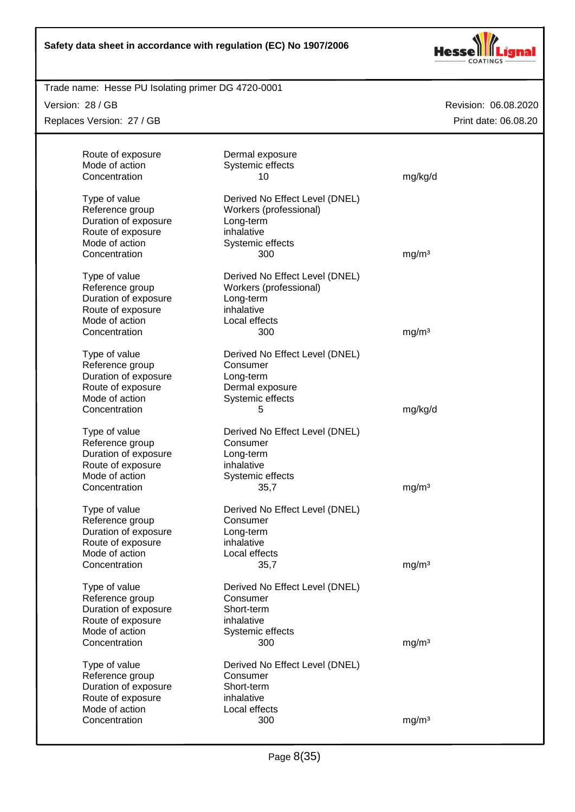

# Trade name: Hesse PU Isolating primer DG 4720-0001

Version: 28 / GB

Replaces Version: 27 / GB

| Route of exposure<br>Mode of action<br>Concentration | Dermal exposure<br>Systemic effects<br>10 | mg/kg/d           |
|------------------------------------------------------|-------------------------------------------|-------------------|
| Type of value                                        | Derived No Effect Level (DNEL)            |                   |
| Reference group                                      | Workers (professional)                    |                   |
| Duration of exposure                                 | Long-term                                 |                   |
| Route of exposure                                    | inhalative                                |                   |
| Mode of action                                       | Systemic effects                          |                   |
| Concentration                                        | 300                                       | mg/m <sup>3</sup> |
| Type of value                                        | Derived No Effect Level (DNEL)            |                   |
| Reference group                                      | Workers (professional)                    |                   |
| Duration of exposure                                 | Long-term                                 |                   |
| Route of exposure                                    | inhalative                                |                   |
| Mode of action                                       | Local effects                             |                   |
| Concentration                                        | 300                                       | mg/m <sup>3</sup> |
| Type of value                                        | Derived No Effect Level (DNEL)            |                   |
| Reference group                                      | Consumer                                  |                   |
| Duration of exposure                                 | Long-term                                 |                   |
| Route of exposure                                    | Dermal exposure                           |                   |
| Mode of action                                       | Systemic effects                          |                   |
| Concentration                                        | 5                                         | mg/kg/d           |
| Type of value                                        | Derived No Effect Level (DNEL)            |                   |
| Reference group                                      | Consumer                                  |                   |
| Duration of exposure                                 | Long-term                                 |                   |
| Route of exposure                                    | inhalative                                |                   |
| Mode of action                                       | Systemic effects                          |                   |
| Concentration                                        | 35,7                                      | mg/m <sup>3</sup> |
| Type of value                                        | Derived No Effect Level (DNEL)            |                   |
| Reference group                                      | Consumer                                  |                   |
| Duration of exposure                                 | Long-term                                 |                   |
| Route of exposure                                    | inhalative                                |                   |
| Mode of action                                       | Local effects                             |                   |
| Concentration                                        | 35,7                                      | mg/m <sup>3</sup> |
| Type of value                                        | Derived No Effect Level (DNEL)            |                   |
| Reference group                                      | Consumer                                  |                   |
| Duration of exposure                                 | Short-term                                |                   |
| Route of exposure                                    | inhalative                                |                   |
| Mode of action                                       | Systemic effects                          |                   |
| Concentration                                        | 300                                       | mg/m <sup>3</sup> |
| Type of value                                        | Derived No Effect Level (DNEL)            |                   |
| Reference group                                      | Consumer                                  |                   |
| Duration of exposure                                 | Short-term                                |                   |
| Route of exposure                                    | inhalative                                |                   |
| Mode of action                                       | Local effects                             |                   |
| Concentration                                        | 300                                       | mg/m <sup>3</sup> |
|                                                      |                                           |                   |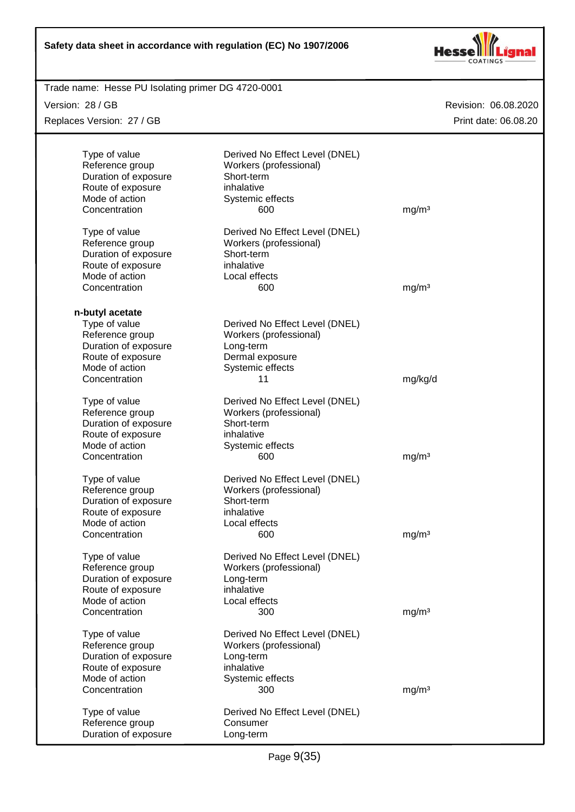

| Trade name: Hesse PU Isolating primer DG 4720-0001 |                                |                      |
|----------------------------------------------------|--------------------------------|----------------------|
| Version: 28 / GB                                   |                                | Revision: 06.08.2020 |
| Replaces Version: 27 / GB                          |                                | Print date: 06.08.20 |
|                                                    |                                |                      |
| Type of value                                      | Derived No Effect Level (DNEL) |                      |
| Reference group                                    | Workers (professional)         |                      |
| Duration of exposure                               | Short-term                     |                      |
| Route of exposure                                  | inhalative                     |                      |
| Mode of action                                     | Systemic effects               |                      |
| Concentration                                      | 600                            | mg/m <sup>3</sup>    |
|                                                    |                                |                      |
| Type of value                                      | Derived No Effect Level (DNEL) |                      |
| Reference group                                    | Workers (professional)         |                      |
| Duration of exposure                               | Short-term                     |                      |
| Route of exposure                                  | inhalative                     |                      |
| Mode of action                                     | Local effects                  |                      |
| Concentration                                      | 600                            | mg/m <sup>3</sup>    |
|                                                    |                                |                      |
| n-butyl acetate                                    |                                |                      |
| Type of value                                      | Derived No Effect Level (DNEL) |                      |
| Reference group                                    | Workers (professional)         |                      |
| Duration of exposure                               | Long-term                      |                      |
| Route of exposure                                  | Dermal exposure                |                      |
| Mode of action                                     | Systemic effects               |                      |
| Concentration                                      | 11                             | mg/kg/d              |
|                                                    |                                |                      |
| Type of value                                      | Derived No Effect Level (DNEL) |                      |
| Reference group                                    | Workers (professional)         |                      |
| Duration of exposure                               | Short-term                     |                      |
| Route of exposure                                  | inhalative                     |                      |
| Mode of action                                     | Systemic effects               |                      |
| Concentration                                      | 600                            | mg/m <sup>3</sup>    |
| Type of value                                      | Derived No Effect Level (DNEL) |                      |
| Reference group                                    | Workers (professional)         |                      |
| Duration of exposure                               | Short-term                     |                      |
| Route of exposure                                  | inhalative                     |                      |
| Mode of action                                     | Local effects                  |                      |
| Concentration                                      | 600                            | mg/m <sup>3</sup>    |
|                                                    |                                |                      |
| Type of value                                      | Derived No Effect Level (DNEL) |                      |
| Reference group                                    | Workers (professional)         |                      |
| Duration of exposure                               | Long-term                      |                      |
| Route of exposure                                  | inhalative                     |                      |
| Mode of action                                     | Local effects                  |                      |
| Concentration                                      | 300                            | mg/m <sup>3</sup>    |
| Type of value                                      | Derived No Effect Level (DNEL) |                      |
|                                                    |                                |                      |
| Reference group                                    | Workers (professional)         |                      |
| Duration of exposure                               | Long-term                      |                      |
| Route of exposure                                  | inhalative                     |                      |
| Mode of action                                     | Systemic effects               |                      |
| Concentration                                      | 300                            | mg/m <sup>3</sup>    |
| Type of value                                      | Derived No Effect Level (DNEL) |                      |
| Reference group                                    | Consumer                       |                      |
| Duration of exposure                               | Long-term                      |                      |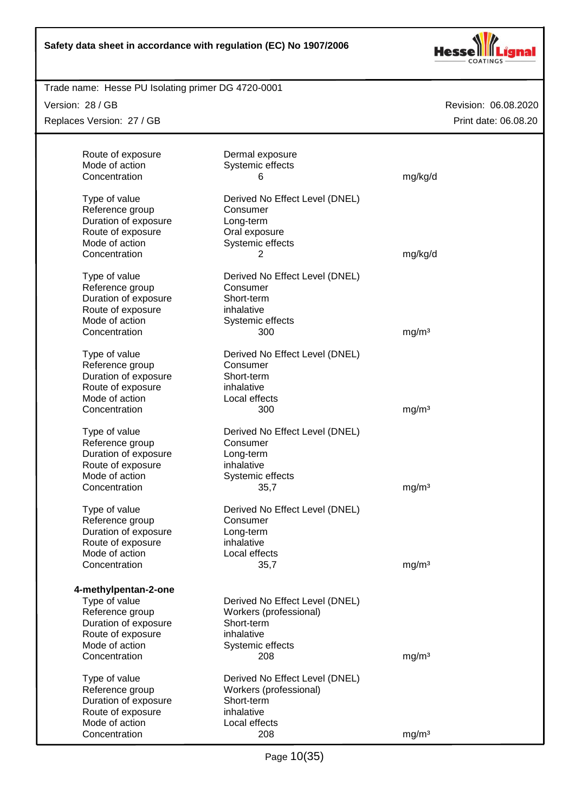

# Trade name: Hesse PU Isolating primer DG 4720-0001

Version: 28 / GB

Replaces Version: 27 / GB

| Concentration<br>6<br>mg/kg/d<br>Type of value<br>Derived No Effect Level (DNEL)<br>Reference group<br>Consumer<br>Duration of exposure<br>Long-term<br>Route of exposure<br>Oral exposure<br>Mode of action<br>Systemic effects<br>Concentration<br>mg/kg/d<br>2<br>Type of value<br>Derived No Effect Level (DNEL)<br>Reference group<br>Consumer<br>Duration of exposure<br>Short-term<br>Route of exposure<br>inhalative<br>Mode of action<br>Systemic effects<br>Concentration<br>mg/m <sup>3</sup><br>300<br>Type of value<br>Derived No Effect Level (DNEL)<br>Reference group<br>Consumer<br>Duration of exposure<br>Short-term<br>Route of exposure<br>inhalative<br>Mode of action<br>Local effects<br>Concentration<br>300<br>mg/m <sup>3</sup><br>Type of value<br>Derived No Effect Level (DNEL)<br>Reference group<br>Consumer<br>Duration of exposure<br>Long-term<br>Route of exposure<br>inhalative<br>Mode of action<br>Systemic effects<br>mg/m <sup>3</sup><br>Concentration<br>35,7<br>Type of value<br>Derived No Effect Level (DNEL)<br>Reference group<br>Consumer<br>Duration of exposure<br>Long-term<br>Route of exposure<br>inhalative<br>Mode of action<br>Local effects<br>35,7<br>Concentration<br>mg/m <sup>3</sup><br>4-methylpentan-2-one<br>Type of value<br>Derived No Effect Level (DNEL)<br>Reference group<br>Workers (professional)<br>Duration of exposure<br>Short-term<br>Route of exposure<br>inhalative<br>Mode of action<br>Systemic effects<br>Concentration<br>208<br>mg/m <sup>3</sup><br>Type of value<br>Derived No Effect Level (DNEL)<br>Workers (professional)<br>Reference group<br>Duration of exposure<br>Short-term<br>inhalative<br>Route of exposure<br>Mode of action<br>Local effects<br>Concentration<br>208<br>mg/m <sup>3</sup> | Route of exposure<br>Mode of action | Dermal exposure<br>Systemic effects |  |
|--------------------------------------------------------------------------------------------------------------------------------------------------------------------------------------------------------------------------------------------------------------------------------------------------------------------------------------------------------------------------------------------------------------------------------------------------------------------------------------------------------------------------------------------------------------------------------------------------------------------------------------------------------------------------------------------------------------------------------------------------------------------------------------------------------------------------------------------------------------------------------------------------------------------------------------------------------------------------------------------------------------------------------------------------------------------------------------------------------------------------------------------------------------------------------------------------------------------------------------------------------------------------------------------------------------------------------------------------------------------------------------------------------------------------------------------------------------------------------------------------------------------------------------------------------------------------------------------------------------------------------------------------------------------------------------------------------------------------------------------------------------------------------------------------|-------------------------------------|-------------------------------------|--|
|                                                                                                                                                                                                                                                                                                                                                                                                                                                                                                                                                                                                                                                                                                                                                                                                                                                                                                                                                                                                                                                                                                                                                                                                                                                                                                                                                                                                                                                                                                                                                                                                                                                                                                                                                                                                  |                                     |                                     |  |
|                                                                                                                                                                                                                                                                                                                                                                                                                                                                                                                                                                                                                                                                                                                                                                                                                                                                                                                                                                                                                                                                                                                                                                                                                                                                                                                                                                                                                                                                                                                                                                                                                                                                                                                                                                                                  |                                     |                                     |  |
|                                                                                                                                                                                                                                                                                                                                                                                                                                                                                                                                                                                                                                                                                                                                                                                                                                                                                                                                                                                                                                                                                                                                                                                                                                                                                                                                                                                                                                                                                                                                                                                                                                                                                                                                                                                                  |                                     |                                     |  |
|                                                                                                                                                                                                                                                                                                                                                                                                                                                                                                                                                                                                                                                                                                                                                                                                                                                                                                                                                                                                                                                                                                                                                                                                                                                                                                                                                                                                                                                                                                                                                                                                                                                                                                                                                                                                  |                                     |                                     |  |
|                                                                                                                                                                                                                                                                                                                                                                                                                                                                                                                                                                                                                                                                                                                                                                                                                                                                                                                                                                                                                                                                                                                                                                                                                                                                                                                                                                                                                                                                                                                                                                                                                                                                                                                                                                                                  |                                     |                                     |  |
|                                                                                                                                                                                                                                                                                                                                                                                                                                                                                                                                                                                                                                                                                                                                                                                                                                                                                                                                                                                                                                                                                                                                                                                                                                                                                                                                                                                                                                                                                                                                                                                                                                                                                                                                                                                                  |                                     |                                     |  |
|                                                                                                                                                                                                                                                                                                                                                                                                                                                                                                                                                                                                                                                                                                                                                                                                                                                                                                                                                                                                                                                                                                                                                                                                                                                                                                                                                                                                                                                                                                                                                                                                                                                                                                                                                                                                  |                                     |                                     |  |
|                                                                                                                                                                                                                                                                                                                                                                                                                                                                                                                                                                                                                                                                                                                                                                                                                                                                                                                                                                                                                                                                                                                                                                                                                                                                                                                                                                                                                                                                                                                                                                                                                                                                                                                                                                                                  |                                     |                                     |  |
|                                                                                                                                                                                                                                                                                                                                                                                                                                                                                                                                                                                                                                                                                                                                                                                                                                                                                                                                                                                                                                                                                                                                                                                                                                                                                                                                                                                                                                                                                                                                                                                                                                                                                                                                                                                                  |                                     |                                     |  |
|                                                                                                                                                                                                                                                                                                                                                                                                                                                                                                                                                                                                                                                                                                                                                                                                                                                                                                                                                                                                                                                                                                                                                                                                                                                                                                                                                                                                                                                                                                                                                                                                                                                                                                                                                                                                  |                                     |                                     |  |
|                                                                                                                                                                                                                                                                                                                                                                                                                                                                                                                                                                                                                                                                                                                                                                                                                                                                                                                                                                                                                                                                                                                                                                                                                                                                                                                                                                                                                                                                                                                                                                                                                                                                                                                                                                                                  |                                     |                                     |  |
|                                                                                                                                                                                                                                                                                                                                                                                                                                                                                                                                                                                                                                                                                                                                                                                                                                                                                                                                                                                                                                                                                                                                                                                                                                                                                                                                                                                                                                                                                                                                                                                                                                                                                                                                                                                                  |                                     |                                     |  |
|                                                                                                                                                                                                                                                                                                                                                                                                                                                                                                                                                                                                                                                                                                                                                                                                                                                                                                                                                                                                                                                                                                                                                                                                                                                                                                                                                                                                                                                                                                                                                                                                                                                                                                                                                                                                  |                                     |                                     |  |
|                                                                                                                                                                                                                                                                                                                                                                                                                                                                                                                                                                                                                                                                                                                                                                                                                                                                                                                                                                                                                                                                                                                                                                                                                                                                                                                                                                                                                                                                                                                                                                                                                                                                                                                                                                                                  |                                     |                                     |  |
|                                                                                                                                                                                                                                                                                                                                                                                                                                                                                                                                                                                                                                                                                                                                                                                                                                                                                                                                                                                                                                                                                                                                                                                                                                                                                                                                                                                                                                                                                                                                                                                                                                                                                                                                                                                                  |                                     |                                     |  |
|                                                                                                                                                                                                                                                                                                                                                                                                                                                                                                                                                                                                                                                                                                                                                                                                                                                                                                                                                                                                                                                                                                                                                                                                                                                                                                                                                                                                                                                                                                                                                                                                                                                                                                                                                                                                  |                                     |                                     |  |
|                                                                                                                                                                                                                                                                                                                                                                                                                                                                                                                                                                                                                                                                                                                                                                                                                                                                                                                                                                                                                                                                                                                                                                                                                                                                                                                                                                                                                                                                                                                                                                                                                                                                                                                                                                                                  |                                     |                                     |  |
|                                                                                                                                                                                                                                                                                                                                                                                                                                                                                                                                                                                                                                                                                                                                                                                                                                                                                                                                                                                                                                                                                                                                                                                                                                                                                                                                                                                                                                                                                                                                                                                                                                                                                                                                                                                                  |                                     |                                     |  |
|                                                                                                                                                                                                                                                                                                                                                                                                                                                                                                                                                                                                                                                                                                                                                                                                                                                                                                                                                                                                                                                                                                                                                                                                                                                                                                                                                                                                                                                                                                                                                                                                                                                                                                                                                                                                  |                                     |                                     |  |
|                                                                                                                                                                                                                                                                                                                                                                                                                                                                                                                                                                                                                                                                                                                                                                                                                                                                                                                                                                                                                                                                                                                                                                                                                                                                                                                                                                                                                                                                                                                                                                                                                                                                                                                                                                                                  |                                     |                                     |  |
|                                                                                                                                                                                                                                                                                                                                                                                                                                                                                                                                                                                                                                                                                                                                                                                                                                                                                                                                                                                                                                                                                                                                                                                                                                                                                                                                                                                                                                                                                                                                                                                                                                                                                                                                                                                                  |                                     |                                     |  |
|                                                                                                                                                                                                                                                                                                                                                                                                                                                                                                                                                                                                                                                                                                                                                                                                                                                                                                                                                                                                                                                                                                                                                                                                                                                                                                                                                                                                                                                                                                                                                                                                                                                                                                                                                                                                  |                                     |                                     |  |
|                                                                                                                                                                                                                                                                                                                                                                                                                                                                                                                                                                                                                                                                                                                                                                                                                                                                                                                                                                                                                                                                                                                                                                                                                                                                                                                                                                                                                                                                                                                                                                                                                                                                                                                                                                                                  |                                     |                                     |  |
|                                                                                                                                                                                                                                                                                                                                                                                                                                                                                                                                                                                                                                                                                                                                                                                                                                                                                                                                                                                                                                                                                                                                                                                                                                                                                                                                                                                                                                                                                                                                                                                                                                                                                                                                                                                                  |                                     |                                     |  |
|                                                                                                                                                                                                                                                                                                                                                                                                                                                                                                                                                                                                                                                                                                                                                                                                                                                                                                                                                                                                                                                                                                                                                                                                                                                                                                                                                                                                                                                                                                                                                                                                                                                                                                                                                                                                  |                                     |                                     |  |
|                                                                                                                                                                                                                                                                                                                                                                                                                                                                                                                                                                                                                                                                                                                                                                                                                                                                                                                                                                                                                                                                                                                                                                                                                                                                                                                                                                                                                                                                                                                                                                                                                                                                                                                                                                                                  |                                     |                                     |  |
|                                                                                                                                                                                                                                                                                                                                                                                                                                                                                                                                                                                                                                                                                                                                                                                                                                                                                                                                                                                                                                                                                                                                                                                                                                                                                                                                                                                                                                                                                                                                                                                                                                                                                                                                                                                                  |                                     |                                     |  |
|                                                                                                                                                                                                                                                                                                                                                                                                                                                                                                                                                                                                                                                                                                                                                                                                                                                                                                                                                                                                                                                                                                                                                                                                                                                                                                                                                                                                                                                                                                                                                                                                                                                                                                                                                                                                  |                                     |                                     |  |
|                                                                                                                                                                                                                                                                                                                                                                                                                                                                                                                                                                                                                                                                                                                                                                                                                                                                                                                                                                                                                                                                                                                                                                                                                                                                                                                                                                                                                                                                                                                                                                                                                                                                                                                                                                                                  |                                     |                                     |  |
|                                                                                                                                                                                                                                                                                                                                                                                                                                                                                                                                                                                                                                                                                                                                                                                                                                                                                                                                                                                                                                                                                                                                                                                                                                                                                                                                                                                                                                                                                                                                                                                                                                                                                                                                                                                                  |                                     |                                     |  |
|                                                                                                                                                                                                                                                                                                                                                                                                                                                                                                                                                                                                                                                                                                                                                                                                                                                                                                                                                                                                                                                                                                                                                                                                                                                                                                                                                                                                                                                                                                                                                                                                                                                                                                                                                                                                  |                                     |                                     |  |
|                                                                                                                                                                                                                                                                                                                                                                                                                                                                                                                                                                                                                                                                                                                                                                                                                                                                                                                                                                                                                                                                                                                                                                                                                                                                                                                                                                                                                                                                                                                                                                                                                                                                                                                                                                                                  |                                     |                                     |  |
|                                                                                                                                                                                                                                                                                                                                                                                                                                                                                                                                                                                                                                                                                                                                                                                                                                                                                                                                                                                                                                                                                                                                                                                                                                                                                                                                                                                                                                                                                                                                                                                                                                                                                                                                                                                                  |                                     |                                     |  |
|                                                                                                                                                                                                                                                                                                                                                                                                                                                                                                                                                                                                                                                                                                                                                                                                                                                                                                                                                                                                                                                                                                                                                                                                                                                                                                                                                                                                                                                                                                                                                                                                                                                                                                                                                                                                  |                                     |                                     |  |
|                                                                                                                                                                                                                                                                                                                                                                                                                                                                                                                                                                                                                                                                                                                                                                                                                                                                                                                                                                                                                                                                                                                                                                                                                                                                                                                                                                                                                                                                                                                                                                                                                                                                                                                                                                                                  |                                     |                                     |  |
|                                                                                                                                                                                                                                                                                                                                                                                                                                                                                                                                                                                                                                                                                                                                                                                                                                                                                                                                                                                                                                                                                                                                                                                                                                                                                                                                                                                                                                                                                                                                                                                                                                                                                                                                                                                                  |                                     |                                     |  |
|                                                                                                                                                                                                                                                                                                                                                                                                                                                                                                                                                                                                                                                                                                                                                                                                                                                                                                                                                                                                                                                                                                                                                                                                                                                                                                                                                                                                                                                                                                                                                                                                                                                                                                                                                                                                  |                                     |                                     |  |
|                                                                                                                                                                                                                                                                                                                                                                                                                                                                                                                                                                                                                                                                                                                                                                                                                                                                                                                                                                                                                                                                                                                                                                                                                                                                                                                                                                                                                                                                                                                                                                                                                                                                                                                                                                                                  |                                     |                                     |  |
|                                                                                                                                                                                                                                                                                                                                                                                                                                                                                                                                                                                                                                                                                                                                                                                                                                                                                                                                                                                                                                                                                                                                                                                                                                                                                                                                                                                                                                                                                                                                                                                                                                                                                                                                                                                                  |                                     |                                     |  |
|                                                                                                                                                                                                                                                                                                                                                                                                                                                                                                                                                                                                                                                                                                                                                                                                                                                                                                                                                                                                                                                                                                                                                                                                                                                                                                                                                                                                                                                                                                                                                                                                                                                                                                                                                                                                  |                                     |                                     |  |
|                                                                                                                                                                                                                                                                                                                                                                                                                                                                                                                                                                                                                                                                                                                                                                                                                                                                                                                                                                                                                                                                                                                                                                                                                                                                                                                                                                                                                                                                                                                                                                                                                                                                                                                                                                                                  |                                     |                                     |  |
|                                                                                                                                                                                                                                                                                                                                                                                                                                                                                                                                                                                                                                                                                                                                                                                                                                                                                                                                                                                                                                                                                                                                                                                                                                                                                                                                                                                                                                                                                                                                                                                                                                                                                                                                                                                                  |                                     |                                     |  |
|                                                                                                                                                                                                                                                                                                                                                                                                                                                                                                                                                                                                                                                                                                                                                                                                                                                                                                                                                                                                                                                                                                                                                                                                                                                                                                                                                                                                                                                                                                                                                                                                                                                                                                                                                                                                  |                                     |                                     |  |
|                                                                                                                                                                                                                                                                                                                                                                                                                                                                                                                                                                                                                                                                                                                                                                                                                                                                                                                                                                                                                                                                                                                                                                                                                                                                                                                                                                                                                                                                                                                                                                                                                                                                                                                                                                                                  |                                     |                                     |  |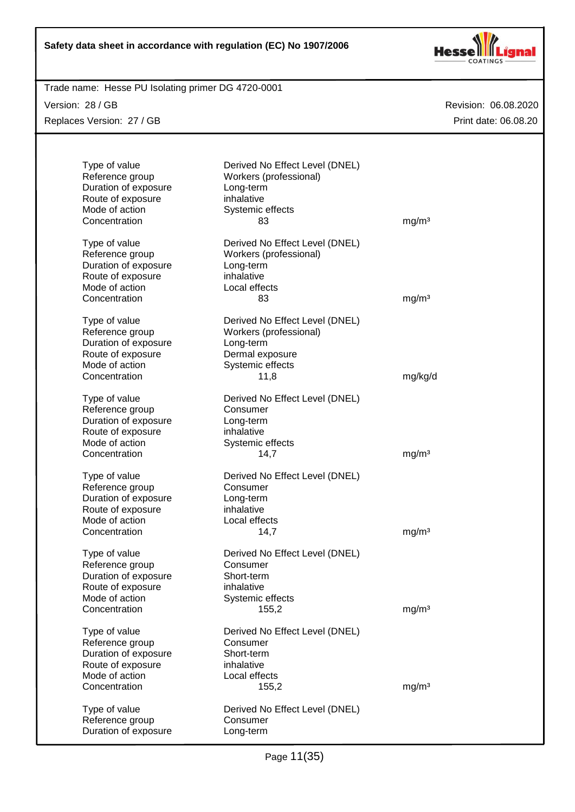

Trade name: Hesse PU Isolating primer DG 4720-0001

Version: 28 / GB Replaces Version: 27 / GB

| Type of value<br>Reference group<br>Duration of exposure<br>Route of exposure<br>Mode of action<br>Concentration | Derived No Effect Level (DNEL)<br>Workers (professional)<br>Long-term<br>inhalative<br>Systemic effects<br>83        | mg/m <sup>3</sup> |
|------------------------------------------------------------------------------------------------------------------|----------------------------------------------------------------------------------------------------------------------|-------------------|
| Type of value<br>Reference group<br>Duration of exposure<br>Route of exposure<br>Mode of action<br>Concentration | Derived No Effect Level (DNEL)<br>Workers (professional)<br>Long-term<br>inhalative<br>Local effects<br>83           | mg/m <sup>3</sup> |
| Type of value<br>Reference group<br>Duration of exposure<br>Route of exposure<br>Mode of action<br>Concentration | Derived No Effect Level (DNEL)<br>Workers (professional)<br>Long-term<br>Dermal exposure<br>Systemic effects<br>11,8 | mg/kg/d           |
| Type of value<br>Reference group<br>Duration of exposure<br>Route of exposure<br>Mode of action<br>Concentration | Derived No Effect Level (DNEL)<br>Consumer<br>Long-term<br>inhalative<br>Systemic effects<br>14,7                    | mg/m <sup>3</sup> |
| Type of value<br>Reference group<br>Duration of exposure<br>Route of exposure<br>Mode of action<br>Concentration | Derived No Effect Level (DNEL)<br>Consumer<br>Long-term<br>inhalative<br>Local effects<br>14,7                       | mg/m <sup>3</sup> |
| Type of value<br>Reference group<br>Duration of exposure<br>Route of exposure<br>Mode of action<br>Concentration | Derived No Effect Level (DNEL)<br>Consumer<br>Short-term<br>inhalative<br>Systemic effects<br>155,2                  | mg/m <sup>3</sup> |
| Type of value<br>Reference group<br>Duration of exposure<br>Route of exposure<br>Mode of action<br>Concentration | Derived No Effect Level (DNEL)<br>Consumer<br>Short-term<br>inhalative<br>Local effects<br>155,2                     | mg/m <sup>3</sup> |
| Type of value<br>Reference group<br>Duration of exposure                                                         | Derived No Effect Level (DNEL)<br>Consumer<br>Long-term                                                              |                   |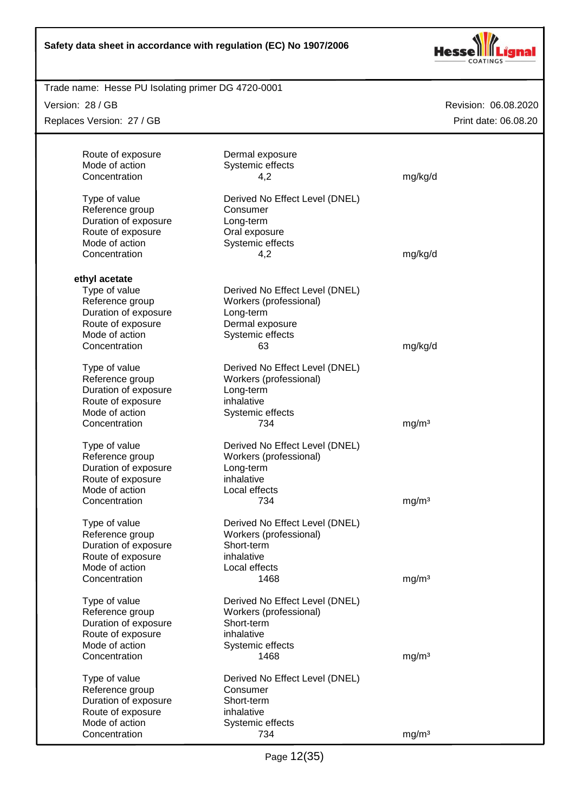

#### Trade name: Hesse PU Isolating primer DG 4720-0001

Version: 28 / GB

Replaces Version: 27 / GB

| Route of exposure<br>Mode of action<br>Concentration | Dermal exposure<br>Systemic effects<br>4,2 | mg/kg/d           |  |
|------------------------------------------------------|--------------------------------------------|-------------------|--|
|                                                      |                                            |                   |  |
| Type of value                                        | Derived No Effect Level (DNEL)             |                   |  |
| Reference group                                      | Consumer                                   |                   |  |
| Duration of exposure                                 | Long-term                                  |                   |  |
| Route of exposure                                    | Oral exposure                              |                   |  |
| Mode of action                                       | Systemic effects                           |                   |  |
| Concentration                                        | 4,2                                        | mg/kg/d           |  |
| ethyl acetate                                        |                                            |                   |  |
| Type of value                                        | Derived No Effect Level (DNEL)             |                   |  |
| Reference group                                      | Workers (professional)                     |                   |  |
| Duration of exposure                                 | Long-term                                  |                   |  |
| Route of exposure                                    | Dermal exposure                            |                   |  |
| Mode of action                                       | Systemic effects                           |                   |  |
| Concentration                                        | 63                                         | mg/kg/d           |  |
|                                                      |                                            |                   |  |
| Type of value                                        | Derived No Effect Level (DNEL)             |                   |  |
| Reference group                                      | Workers (professional)                     |                   |  |
| Duration of exposure                                 | Long-term                                  |                   |  |
| Route of exposure                                    | inhalative                                 |                   |  |
| Mode of action                                       | Systemic effects                           |                   |  |
| Concentration                                        | 734                                        | mg/m <sup>3</sup> |  |
| Type of value                                        | Derived No Effect Level (DNEL)             |                   |  |
| Reference group                                      | Workers (professional)                     |                   |  |
| Duration of exposure                                 | Long-term                                  |                   |  |
| Route of exposure                                    | inhalative                                 |                   |  |
| Mode of action                                       | Local effects                              |                   |  |
| Concentration                                        | 734                                        | mg/m <sup>3</sup> |  |
| Type of value                                        | Derived No Effect Level (DNEL)             |                   |  |
| Reference group                                      | Workers (professional)                     |                   |  |
| Duration of exposure                                 | Short-term                                 |                   |  |
| Route of exposure                                    | inhalative                                 |                   |  |
| Mode of action                                       | Local effects                              |                   |  |
| Concentration                                        | 1468                                       | mg/m <sup>3</sup> |  |
| Type of value                                        | Derived No Effect Level (DNEL)             |                   |  |
| Reference group                                      | Workers (professional)                     |                   |  |
| Duration of exposure                                 | Short-term                                 |                   |  |
| Route of exposure                                    | inhalative                                 |                   |  |
| Mode of action                                       | Systemic effects                           |                   |  |
| Concentration                                        | 1468                                       | mg/m <sup>3</sup> |  |
|                                                      |                                            |                   |  |
| Type of value                                        | Derived No Effect Level (DNEL)             |                   |  |
| Reference group                                      | Consumer                                   |                   |  |
| Duration of exposure                                 | Short-term                                 |                   |  |
| Route of exposure                                    | inhalative                                 |                   |  |
| Mode of action                                       | Systemic effects                           |                   |  |
| Concentration                                        | 734                                        | mg/m <sup>3</sup> |  |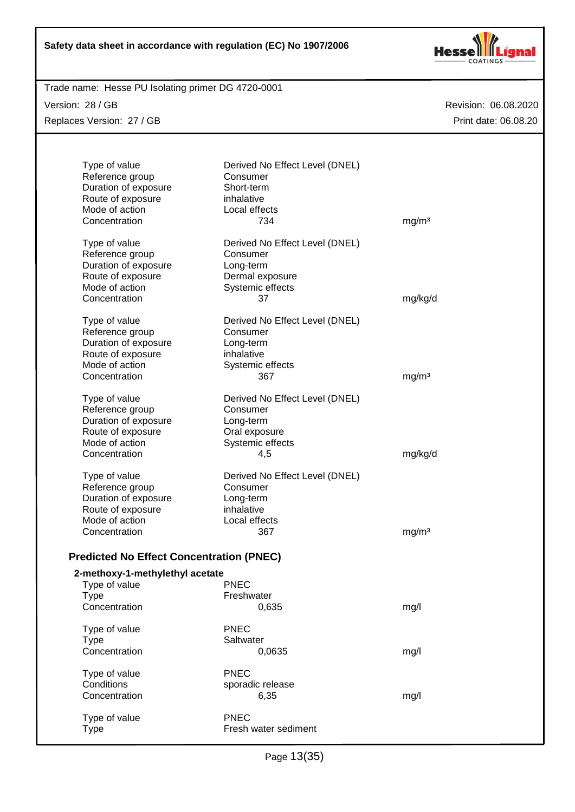

Trade name: Hesse PU Isolating primer DG 4720-0001

Version: 28 / GB Replaces Version: 27 / GB

| Type of value<br>Reference group<br>Duration of exposure<br>Route of exposure<br>Mode of action<br>Concentration | Derived No Effect Level (DNEL)<br>Consumer<br>Short-term<br>inhalative<br>Local effects<br>734       | mg/m <sup>3</sup> |
|------------------------------------------------------------------------------------------------------------------|------------------------------------------------------------------------------------------------------|-------------------|
| Type of value<br>Reference group<br>Duration of exposure<br>Route of exposure<br>Mode of action<br>Concentration | Derived No Effect Level (DNEL)<br>Consumer<br>Long-term<br>Dermal exposure<br>Systemic effects<br>37 | mg/kg/d           |
| Type of value<br>Reference group<br>Duration of exposure<br>Route of exposure<br>Mode of action<br>Concentration | Derived No Effect Level (DNEL)<br>Consumer<br>Long-term<br>inhalative<br>Systemic effects<br>367     | mg/m <sup>3</sup> |
| Type of value<br>Reference group<br>Duration of exposure<br>Route of exposure<br>Mode of action<br>Concentration | Derived No Effect Level (DNEL)<br>Consumer<br>Long-term<br>Oral exposure<br>Systemic effects<br>4,5  | mg/kg/d           |
| Type of value<br>Reference group<br>Duration of exposure<br>Route of exposure<br>Mode of action<br>Concentration | Derived No Effect Level (DNEL)<br>Consumer<br>Long-term<br>inhalative<br>Local effects<br>367        | mg/m <sup>3</sup> |
| <b>Predicted No Effect Concentration (PNEC)</b><br>2-methoxy-1-methylethyl acetate                               |                                                                                                      |                   |
| Type of value<br><b>Type</b><br>Concentration                                                                    | <b>PNEC</b><br>Freshwater<br>0,635                                                                   | mg/l              |
| Type of value<br>Type<br>Concentration                                                                           | <b>PNEC</b><br>Saltwater<br>0,0635                                                                   | mg/l              |
| Type of value<br>Conditions<br>Concentration                                                                     | <b>PNEC</b><br>sporadic release<br>6,35                                                              | mg/l              |
| Type of value<br><b>Type</b>                                                                                     | <b>PNEC</b><br>Fresh water sediment                                                                  |                   |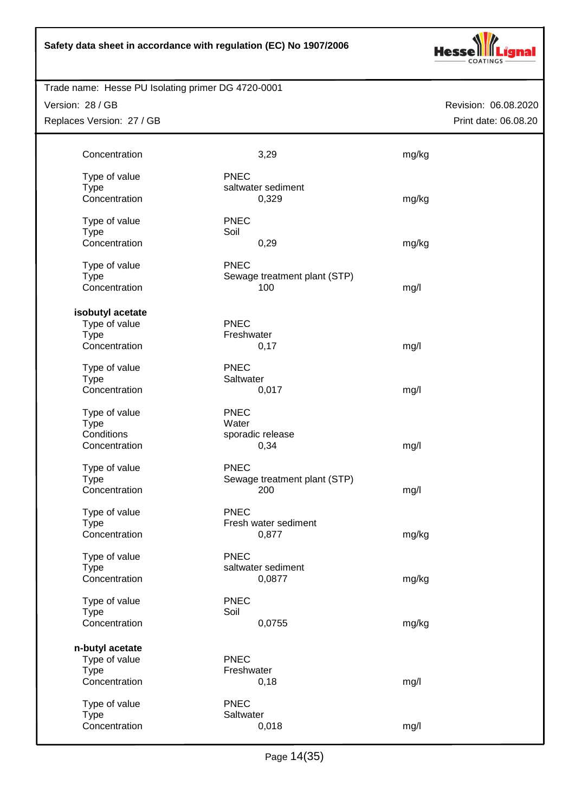

Trade name: Hesse PU Isolating primer DG 4720-0001

Version: 28 / GB Replaces Version: 27 / GB

| Concentration    | 3,29                         | mg/kg |
|------------------|------------------------------|-------|
| Type of value    | <b>PNEC</b>                  |       |
| <b>Type</b>      | saltwater sediment           |       |
| Concentration    | 0,329                        | mg/kg |
| Type of value    | <b>PNEC</b>                  |       |
| <b>Type</b>      | Soil                         |       |
| Concentration    | 0,29                         | mg/kg |
| Type of value    | <b>PNEC</b>                  |       |
| <b>Type</b>      | Sewage treatment plant (STP) |       |
| Concentration    | 100                          | mg/l  |
| isobutyl acetate |                              |       |
| Type of value    | <b>PNEC</b>                  |       |
| <b>Type</b>      | Freshwater                   |       |
| Concentration    | 0,17                         | mg/l  |
| Type of value    | <b>PNEC</b>                  |       |
| <b>Type</b>      | Saltwater                    |       |
| Concentration    | 0,017                        | mg/l  |
| Type of value    | <b>PNEC</b>                  |       |
| <b>Type</b>      | Water                        |       |
| Conditions       | sporadic release             |       |
| Concentration    | 0,34                         | mg/l  |
| Type of value    | <b>PNEC</b>                  |       |
| <b>Type</b>      | Sewage treatment plant (STP) |       |
| Concentration    | 200                          | mg/l  |
| Type of value    | <b>PNEC</b>                  |       |
| <b>Type</b>      | Fresh water sediment         |       |
| Concentration    | 0,877                        | mg/kg |
| Type of value    | <b>PNEC</b>                  |       |
| Type             | saltwater sediment           |       |
| Concentration    | 0,0877                       | mg/kg |
| Type of value    | <b>PNEC</b>                  |       |
| <b>Type</b>      | Soil                         |       |
| Concentration    | 0,0755                       | mg/kg |
| n-butyl acetate  |                              |       |
| Type of value    | <b>PNEC</b>                  |       |
| <b>Type</b>      | Freshwater                   |       |
| Concentration    | 0,18                         | mg/l  |
| Type of value    | <b>PNEC</b>                  |       |
| <b>Type</b>      | Saltwater                    |       |
| Concentration    | 0,018                        | mg/l  |
|                  |                              |       |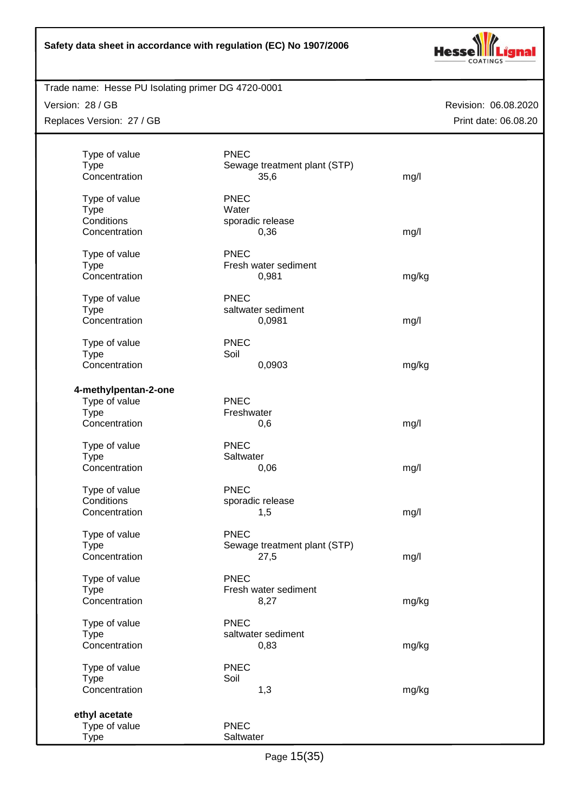

# Trade name: Hesse PU Isolating primer DG 4720-0001

Version: 28 / GB Replaces Version: 27 / GB

| Type of value        | <b>PNEC</b>                  |       |
|----------------------|------------------------------|-------|
| <b>Type</b>          | Sewage treatment plant (STP) |       |
| Concentration        | 35,6                         | mg/l  |
| Type of value        | <b>PNEC</b>                  |       |
| <b>Type</b>          | Water                        |       |
| Conditions           | sporadic release             |       |
| Concentration        | 0,36                         | mg/l  |
| Type of value        | <b>PNEC</b>                  |       |
| <b>Type</b>          | Fresh water sediment         |       |
| Concentration        | 0,981                        | mg/kg |
| Type of value        | <b>PNEC</b>                  |       |
| <b>Type</b>          | saltwater sediment           |       |
| Concentration        | 0,0981                       | mg/l  |
| Type of value        | <b>PNEC</b>                  |       |
| <b>Type</b>          | Soil                         |       |
| Concentration        | 0,0903                       | mg/kg |
| 4-methylpentan-2-one |                              |       |
| Type of value        | <b>PNEC</b>                  |       |
| <b>Type</b>          | Freshwater                   |       |
| Concentration        | 0,6                          | mg/l  |
| Type of value        | <b>PNEC</b>                  |       |
| <b>Type</b>          | Saltwater                    |       |
| Concentration        | 0,06                         | mg/l  |
| Type of value        | <b>PNEC</b>                  |       |
| Conditions           | sporadic release             |       |
| Concentration        | 1,5                          | mg/l  |
| Type of value        | PNEC                         |       |
| <b>Type</b>          | Sewage treatment plant (STP) |       |
| Concentration        | 27,5                         | mg/l  |
| Type of value        | <b>PNEC</b>                  |       |
| <b>Type</b>          | Fresh water sediment         |       |
| Concentration        | 8,27                         | mg/kg |
| Type of value        | <b>PNEC</b>                  |       |
| <b>Type</b>          | saltwater sediment           |       |
| Concentration        | 0,83                         | mg/kg |
| Type of value        | <b>PNEC</b>                  |       |
| <b>Type</b>          | Soil                         |       |
| Concentration        | 1,3                          | mg/kg |
| ethyl acetate        |                              |       |
| Type of value        | <b>PNEC</b>                  |       |
| <b>Type</b>          | Saltwater                    |       |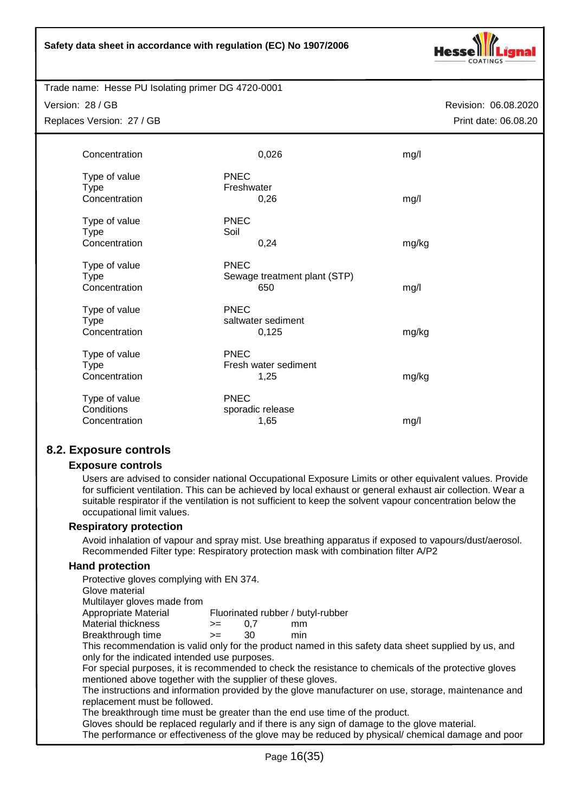

Trade name: Hesse PU Isolating primer DG 4720-0001

| Concentration                                 |                           | 0,026                               | mg/l  |
|-----------------------------------------------|---------------------------|-------------------------------------|-------|
| Type of value<br><b>Type</b><br>Concentration | <b>PNEC</b><br>Freshwater | 0,26                                | mg/l  |
| Type of value<br><b>Type</b><br>Concentration | <b>PNEC</b><br>Soil       | 0,24                                | mg/kg |
| Type of value<br><b>Type</b><br>Concentration | <b>PNEC</b>               | Sewage treatment plant (STP)<br>650 | mg/l  |
| Type of value<br><b>Type</b><br>Concentration | <b>PNEC</b>               | saltwater sediment<br>0,125         | mg/kg |
| Type of value<br><b>Type</b><br>Concentration | <b>PNEC</b>               | Fresh water sediment<br>1,25        | mg/kg |
| Type of value<br>Conditions<br>Concentration  | <b>PNEC</b>               | sporadic release<br>1,65            | mg/l  |

# **8.2. Exposure controls**

#### **Exposure controls**

Users are advised to consider national Occupational Exposure Limits or other equivalent values. Provide for sufficient ventilation. This can be achieved by local exhaust or general exhaust air collection. Wear a suitable respirator if the ventilation is not sufficient to keep the solvent vapour concentration below the occupational limit values.

#### **Respiratory protection**

Avoid inhalation of vapour and spray mist. Use breathing apparatus if exposed to vapours/dust/aerosol. Recommended Filter type: Respiratory protection mask with combination filter A/P2

#### **Hand protection**

Protective gloves complying with EN 374.

Glove material

Multilayer gloves made from

Appropriate Material Fluorinated rubber / butyl-rubber

- Material thickness  $\rightarrow$  = 0,7 mm
- Breakthrough time >= 30 min

This recommendation is valid only for the product named in this safety data sheet supplied by us, and only for the indicated intended use purposes.

For special purposes, it is recommended to check the resistance to chemicals of the protective gloves mentioned above together with the supplier of these gloves.

The instructions and information provided by the glove manufacturer on use, storage, maintenance and replacement must be followed.

The breakthrough time must be greater than the end use time of the product.

Gloves should be replaced regularly and if there is any sign of damage to the glove material.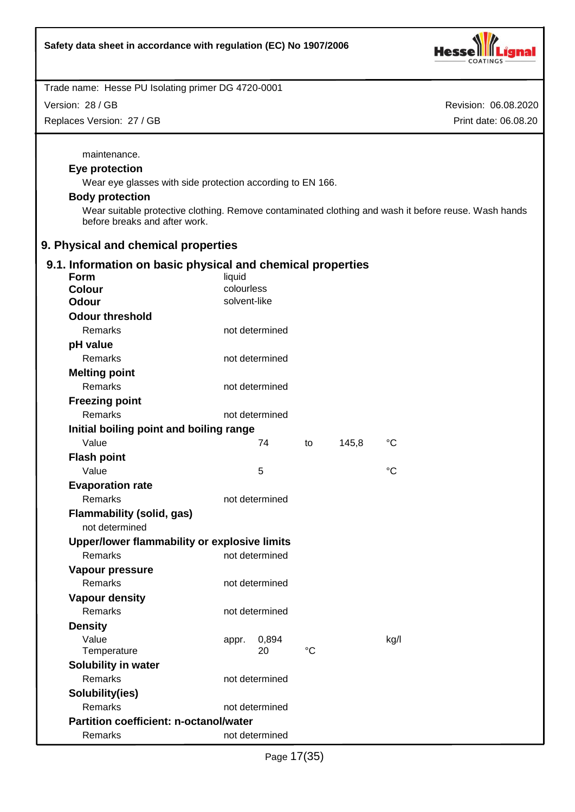

Version: 28 / GB

Replaces Version: 27 / GB

Revision: 06.08.2020 Print date: 06.08.20

maintenance.

# **Eye protection**

Wear eye glasses with side protection according to EN 166.

# **Body protection**

Wear suitable protective clothing. Remove contaminated clothing and wash it before reuse. Wash hands before breaks and after work.

# **9. Physical and chemical properties**

# **9.1. Information on basic physical and chemical properties**

| <b>Form</b>                                   | liquid         |             |       |                   |
|-----------------------------------------------|----------------|-------------|-------|-------------------|
| <b>Colour</b>                                 | colourless     |             |       |                   |
| <b>Odour</b>                                  | solvent-like   |             |       |                   |
| <b>Odour threshold</b>                        |                |             |       |                   |
| Remarks                                       | not determined |             |       |                   |
| pH value                                      |                |             |       |                   |
| Remarks                                       | not determined |             |       |                   |
| <b>Melting point</b>                          |                |             |       |                   |
| Remarks                                       | not determined |             |       |                   |
| <b>Freezing point</b>                         |                |             |       |                   |
| Remarks                                       | not determined |             |       |                   |
| Initial boiling point and boiling range       |                |             |       |                   |
| Value                                         | 74             | to          | 145,8 | $^{\circ}{\rm C}$ |
| <b>Flash point</b>                            |                |             |       |                   |
| Value                                         | 5              |             |       | °C                |
| <b>Evaporation rate</b>                       |                |             |       |                   |
| Remarks                                       | not determined |             |       |                   |
| <b>Flammability (solid, gas)</b>              |                |             |       |                   |
| not determined                                |                |             |       |                   |
| Upper/lower flammability or explosive limits  |                |             |       |                   |
| <b>Remarks</b>                                | not determined |             |       |                   |
| Vapour pressure                               |                |             |       |                   |
| Remarks                                       | not determined |             |       |                   |
| <b>Vapour density</b>                         |                |             |       |                   |
| Remarks                                       | not determined |             |       |                   |
| <b>Density</b>                                |                |             |       |                   |
| Value                                         | 0,894<br>appr. |             |       | kg/l              |
| Temperature                                   | 20             | $^{\circ}C$ |       |                   |
| <b>Solubility in water</b>                    |                |             |       |                   |
| <b>Remarks</b>                                | not determined |             |       |                   |
| Solubility(ies)                               |                |             |       |                   |
| Remarks                                       | not determined |             |       |                   |
| <b>Partition coefficient: n-octanol/water</b> |                |             |       |                   |
| Remarks                                       | not determined |             |       |                   |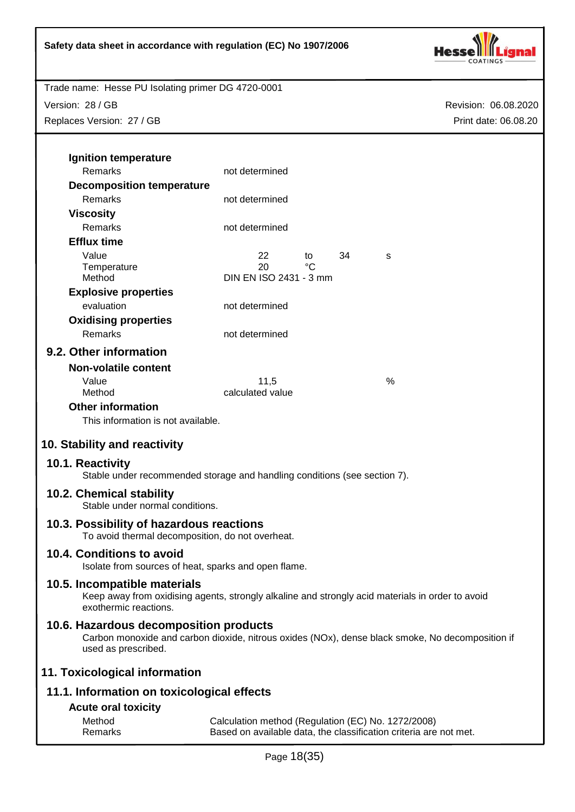

Version: 28 / GB Replaces Version: 27 / GB

| Ignition temperature                                                                                                                                              |                                                                                                                         |    |    |   |  |
|-------------------------------------------------------------------------------------------------------------------------------------------------------------------|-------------------------------------------------------------------------------------------------------------------------|----|----|---|--|
| Remarks                                                                                                                                                           | not determined                                                                                                          |    |    |   |  |
| <b>Decomposition temperature</b>                                                                                                                                  |                                                                                                                         |    |    |   |  |
| Remarks                                                                                                                                                           | not determined                                                                                                          |    |    |   |  |
| <b>Viscosity</b>                                                                                                                                                  | not determined                                                                                                          |    |    |   |  |
| <b>Remarks</b>                                                                                                                                                    |                                                                                                                         |    |    |   |  |
| <b>Efflux time</b>                                                                                                                                                |                                                                                                                         |    |    |   |  |
| Value                                                                                                                                                             | 22                                                                                                                      | to | 34 | s |  |
| Temperature<br>Method                                                                                                                                             | 20<br>DIN EN ISO 2431 - 3 mm                                                                                            | °C |    |   |  |
|                                                                                                                                                                   |                                                                                                                         |    |    |   |  |
| <b>Explosive properties</b><br>evaluation                                                                                                                         |                                                                                                                         |    |    |   |  |
|                                                                                                                                                                   | not determined                                                                                                          |    |    |   |  |
| <b>Oxidising properties</b>                                                                                                                                       |                                                                                                                         |    |    |   |  |
| Remarks                                                                                                                                                           | not determined                                                                                                          |    |    |   |  |
| 9.2. Other information                                                                                                                                            |                                                                                                                         |    |    |   |  |
| <b>Non-volatile content</b>                                                                                                                                       |                                                                                                                         |    |    |   |  |
| Value                                                                                                                                                             | 11,5                                                                                                                    |    |    | % |  |
| Method                                                                                                                                                            | calculated value                                                                                                        |    |    |   |  |
| <b>Other information</b>                                                                                                                                          |                                                                                                                         |    |    |   |  |
| This information is not available.                                                                                                                                |                                                                                                                         |    |    |   |  |
| 10. Stability and reactivity                                                                                                                                      |                                                                                                                         |    |    |   |  |
| 10.1. Reactivity<br>Stable under recommended storage and handling conditions (see section 7).                                                                     |                                                                                                                         |    |    |   |  |
| 10.2. Chemical stability<br>Stable under normal conditions.                                                                                                       |                                                                                                                         |    |    |   |  |
| 10.3. Possibility of hazardous reactions<br>To avoid thermal decomposition, do not overheat.                                                                      |                                                                                                                         |    |    |   |  |
| 10.4. Conditions to avoid<br>Isolate from sources of heat, sparks and open flame.                                                                                 |                                                                                                                         |    |    |   |  |
| 10.5. Incompatible materials<br>Keep away from oxidising agents, strongly alkaline and strongly acid materials in order to avoid<br>exothermic reactions.         |                                                                                                                         |    |    |   |  |
| 10.6. Hazardous decomposition products<br>Carbon monoxide and carbon dioxide, nitrous oxides (NOx), dense black smoke, No decomposition if<br>used as prescribed. |                                                                                                                         |    |    |   |  |
| 11. Toxicological information                                                                                                                                     |                                                                                                                         |    |    |   |  |
| 11.1. Information on toxicological effects                                                                                                                        |                                                                                                                         |    |    |   |  |
| <b>Acute oral toxicity</b>                                                                                                                                        |                                                                                                                         |    |    |   |  |
| Method<br>Remarks                                                                                                                                                 | Calculation method (Regulation (EC) No. 1272/2008)<br>Based on available data, the classification criteria are not met. |    |    |   |  |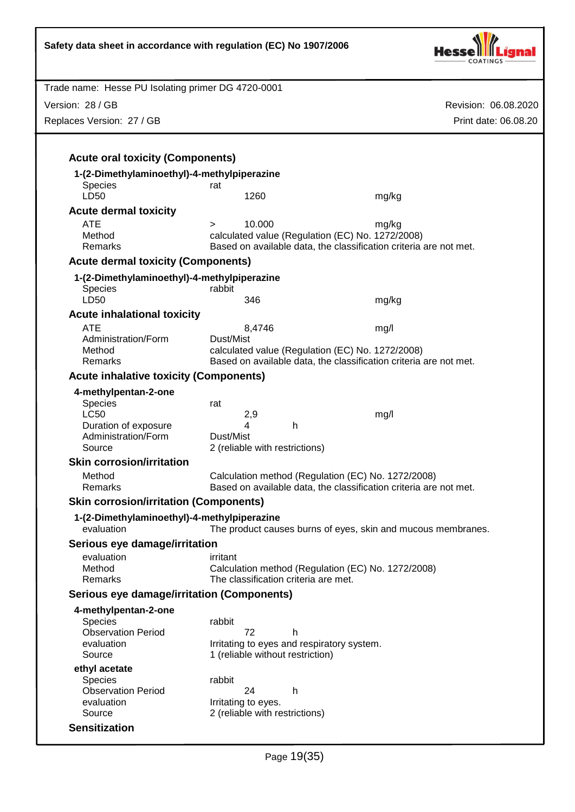| Safety data sheet in accordance with regulation (EC) No 1907/2006 |                                                                      |                      |  |  |
|-------------------------------------------------------------------|----------------------------------------------------------------------|----------------------|--|--|
| Trade name: Hesse PU Isolating primer DG 4720-0001                |                                                                      |                      |  |  |
| Version: 28 / GB                                                  |                                                                      | Revision: 06.08.2020 |  |  |
| Replaces Version: 27 / GB                                         |                                                                      | Print date: 06.08.20 |  |  |
|                                                                   |                                                                      |                      |  |  |
| <b>Acute oral toxicity (Components)</b>                           |                                                                      |                      |  |  |
| 1-(2-Dimethylaminoethyl)-4-methylpiperazine                       |                                                                      |                      |  |  |
| Species                                                           | rat                                                                  |                      |  |  |
| LD50                                                              | 1260                                                                 | mg/kg                |  |  |
| <b>Acute dermal toxicity</b>                                      |                                                                      |                      |  |  |
| <b>ATE</b><br>Method                                              | 10.000<br>$\geq$<br>calculated value (Regulation (EC) No. 1272/2008) | mg/kg                |  |  |
| Remarks                                                           | Based on available data, the classification criteria are not met.    |                      |  |  |
| <b>Acute dermal toxicity (Components)</b>                         |                                                                      |                      |  |  |
| 1-(2-Dimethylaminoethyl)-4-methylpiperazine                       |                                                                      |                      |  |  |
| <b>Species</b>                                                    | rabbit                                                               |                      |  |  |
| LD50                                                              | 346                                                                  | mg/kg                |  |  |
| <b>Acute inhalational toxicity</b>                                |                                                                      |                      |  |  |
| <b>ATE</b><br>Administration/Form                                 | 8,4746<br>Dust/Mist                                                  | mg/l                 |  |  |
| Method                                                            | calculated value (Regulation (EC) No. 1272/2008)                     |                      |  |  |
| Remarks                                                           | Based on available data, the classification criteria are not met.    |                      |  |  |
| <b>Acute inhalative toxicity (Components)</b>                     |                                                                      |                      |  |  |
| 4-methylpentan-2-one                                              |                                                                      |                      |  |  |
| Species                                                           | rat                                                                  |                      |  |  |
| <b>LC50</b><br>Duration of exposure                               | 2,9<br>mg/l<br>4<br>h                                                |                      |  |  |
| Administration/Form                                               | Dust/Mist                                                            |                      |  |  |
| Source                                                            | 2 (reliable with restrictions)                                       |                      |  |  |
| <b>Skin corrosion/irritation</b>                                  |                                                                      |                      |  |  |
| Method                                                            | Calculation method (Regulation (EC) No. 1272/2008)                   |                      |  |  |
| Remarks                                                           | Based on available data, the classification criteria are not met.    |                      |  |  |
| <b>Skin corrosion/irritation (Components)</b>                     |                                                                      |                      |  |  |
| 1-(2-Dimethylaminoethyl)-4-methylpiperazine<br>evaluation         | The product causes burns of eyes, skin and mucous membranes.         |                      |  |  |
| Serious eye damage/irritation                                     |                                                                      |                      |  |  |
| evaluation                                                        | irritant                                                             |                      |  |  |
| Method                                                            | Calculation method (Regulation (EC) No. 1272/2008)                   |                      |  |  |
| Remarks                                                           | The classification criteria are met.                                 |                      |  |  |
| <b>Serious eye damage/irritation (Components)</b>                 |                                                                      |                      |  |  |
| 4-methylpentan-2-one<br>Species                                   | rabbit                                                               |                      |  |  |
| <b>Observation Period</b>                                         | 72<br>h                                                              |                      |  |  |
| evaluation                                                        | Irritating to eyes and respiratory system.                           |                      |  |  |
| Source                                                            | 1 (reliable without restriction)                                     |                      |  |  |
| ethyl acetate<br><b>Species</b>                                   | rabbit                                                               |                      |  |  |
| <b>Observation Period</b>                                         | 24<br>h                                                              |                      |  |  |
| evaluation                                                        | Irritating to eyes.                                                  |                      |  |  |
| Source                                                            | 2 (reliable with restrictions)                                       |                      |  |  |
| <b>Sensitization</b>                                              |                                                                      |                      |  |  |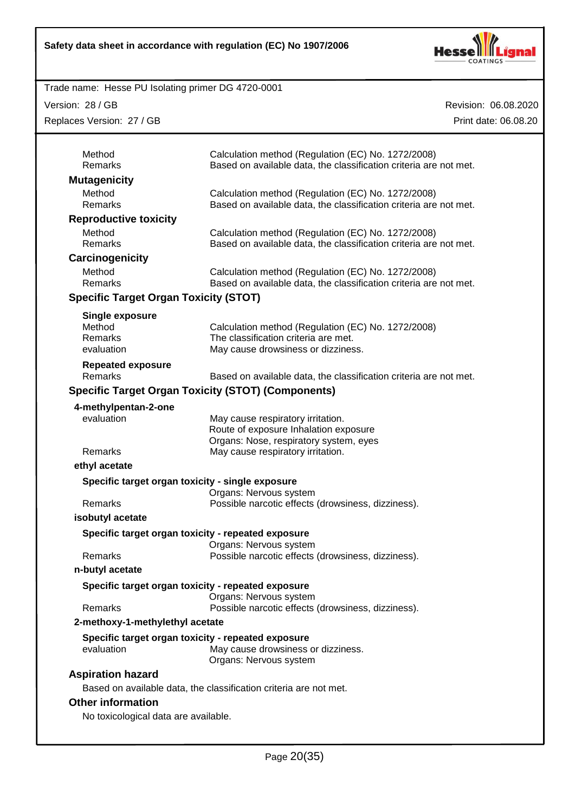

Version: 28 / GB

Replaces Version: 27 / GB

| Method<br>Remarks                                         | Calculation method (Regulation (EC) No. 1272/2008)<br>Based on available data, the classification criteria are not met. |
|-----------------------------------------------------------|-------------------------------------------------------------------------------------------------------------------------|
| <b>Mutagenicity</b>                                       |                                                                                                                         |
| Method                                                    | Calculation method (Regulation (EC) No. 1272/2008)                                                                      |
| Remarks                                                   | Based on available data, the classification criteria are not met.                                                       |
| <b>Reproductive toxicity</b>                              |                                                                                                                         |
| Method                                                    | Calculation method (Regulation (EC) No. 1272/2008)                                                                      |
| Remarks                                                   | Based on available data, the classification criteria are not met.                                                       |
| Carcinogenicity                                           |                                                                                                                         |
| Method                                                    | Calculation method (Regulation (EC) No. 1272/2008)                                                                      |
| Remarks                                                   | Based on available data, the classification criteria are not met.                                                       |
| <b>Specific Target Organ Toxicity (STOT)</b>              |                                                                                                                         |
| <b>Single exposure</b>                                    |                                                                                                                         |
| Method                                                    | Calculation method (Regulation (EC) No. 1272/2008)                                                                      |
| Remarks                                                   | The classification criteria are met.                                                                                    |
| evaluation                                                | May cause drowsiness or dizziness.                                                                                      |
| <b>Repeated exposure</b>                                  |                                                                                                                         |
| Remarks                                                   | Based on available data, the classification criteria are not met.                                                       |
| <b>Specific Target Organ Toxicity (STOT) (Components)</b> |                                                                                                                         |
| 4-methylpentan-2-one                                      |                                                                                                                         |
| evaluation                                                | May cause respiratory irritation.                                                                                       |
|                                                           | Route of exposure Inhalation exposure<br>Organs: Nose, respiratory system, eyes                                         |
| Remarks                                                   | May cause respiratory irritation.                                                                                       |
| ethyl acetate                                             |                                                                                                                         |
|                                                           |                                                                                                                         |
| Specific target organ toxicity - single exposure          | Organs: Nervous system                                                                                                  |
| Remarks                                                   | Possible narcotic effects (drowsiness, dizziness).                                                                      |
| isobutyl acetate                                          |                                                                                                                         |
|                                                           |                                                                                                                         |
| Specific target organ toxicity - repeated exposure        | Organs: Nervous system                                                                                                  |
| Remarks                                                   | Possible narcotic effects (drowsiness, dizziness).                                                                      |
| n-butyl acetate                                           |                                                                                                                         |
| Specific target organ toxicity - repeated exposure        |                                                                                                                         |
| <b>Remarks</b>                                            | Organs: Nervous system<br>Possible narcotic effects (drowsiness, dizziness).                                            |
| 2-methoxy-1-methylethyl acetate                           |                                                                                                                         |
| Specific target organ toxicity - repeated exposure        |                                                                                                                         |
| evaluation                                                | May cause drowsiness or dizziness.<br>Organs: Nervous system                                                            |
|                                                           |                                                                                                                         |
|                                                           |                                                                                                                         |
| <b>Aspiration hazard</b>                                  |                                                                                                                         |
| <b>Other information</b>                                  | Based on available data, the classification criteria are not met.                                                       |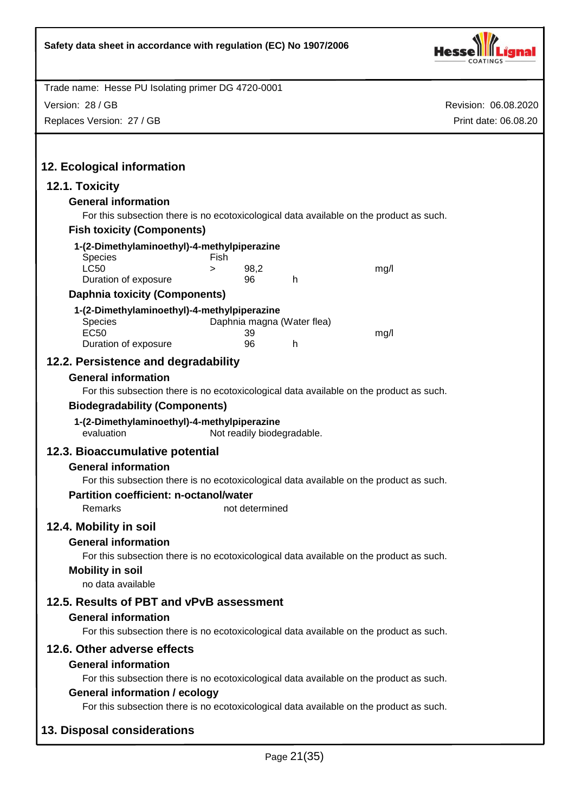

Version: 28 / GB

Replaces Version: 27 / GB

| 12. Ecological information                                |                 |                            |                                                                                         |
|-----------------------------------------------------------|-----------------|----------------------------|-----------------------------------------------------------------------------------------|
| 12.1. Toxicity<br><b>General information</b>              |                 |                            |                                                                                         |
|                                                           |                 |                            | For this subsection there is no ecotoxicological data available on the product as such. |
| <b>Fish toxicity (Components)</b>                         |                 |                            |                                                                                         |
| 1-(2-Dimethylaminoethyl)-4-methylpiperazine               |                 |                            |                                                                                         |
| <b>Species</b>                                            | Fish            |                            |                                                                                         |
| <b>LC50</b><br>Duration of exposure                       | 98,2<br>><br>96 | h                          | mg/l                                                                                    |
| <b>Daphnia toxicity (Components)</b>                      |                 |                            |                                                                                         |
| 1-(2-Dimethylaminoethyl)-4-methylpiperazine               |                 |                            |                                                                                         |
| Species                                                   |                 | Daphnia magna (Water flea) |                                                                                         |
| <b>EC50</b>                                               | 39              |                            | mg/l                                                                                    |
| Duration of exposure                                      | 96              | h                          |                                                                                         |
| 12.2. Persistence and degradability                       |                 |                            |                                                                                         |
| <b>General information</b>                                |                 |                            |                                                                                         |
|                                                           |                 |                            | For this subsection there is no ecotoxicological data available on the product as such. |
| <b>Biodegradability (Components)</b>                      |                 |                            |                                                                                         |
| 1-(2-Dimethylaminoethyl)-4-methylpiperazine<br>evaluation |                 | Not readily biodegradable. |                                                                                         |
| 12.3. Bioaccumulative potential                           |                 |                            |                                                                                         |
| <b>General information</b>                                |                 |                            |                                                                                         |
|                                                           |                 |                            | For this subsection there is no ecotoxicological data available on the product as such. |
| <b>Partition coefficient: n-octanol/water</b>             |                 |                            |                                                                                         |
| Remarks                                                   | not determined  |                            |                                                                                         |
| 12.4. Mobility in soil                                    |                 |                            |                                                                                         |
| <b>General information</b>                                |                 |                            |                                                                                         |
| <b>Mobility in soil</b>                                   |                 |                            | For this subsection there is no ecotoxicological data available on the product as such. |
| no data available                                         |                 |                            |                                                                                         |
| 12.5. Results of PBT and vPvB assessment                  |                 |                            |                                                                                         |
| <b>General information</b>                                |                 |                            |                                                                                         |
|                                                           |                 |                            | For this subsection there is no ecotoxicological data available on the product as such. |
| 12.6. Other adverse effects                               |                 |                            |                                                                                         |
| <b>General information</b>                                |                 |                            |                                                                                         |
|                                                           |                 |                            | For this subsection there is no ecotoxicological data available on the product as such. |
| <b>General information / ecology</b>                      |                 |                            |                                                                                         |
|                                                           |                 |                            | For this subsection there is no ecotoxicological data available on the product as such. |
| 13. Disposal considerations                               |                 |                            |                                                                                         |
|                                                           |                 | Page 21(35)                |                                                                                         |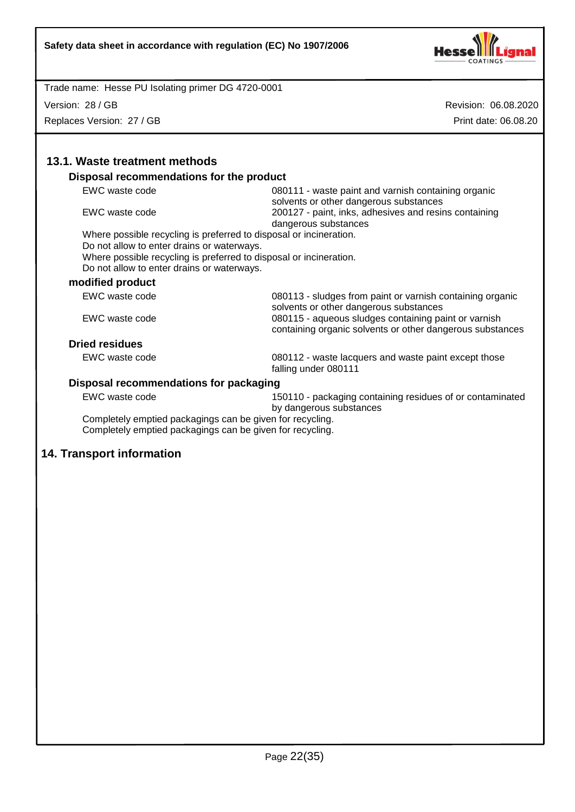

Version: 28 / GB

Replaces Version: 27 / GB

Revision: 06.08.2020 Print date: 06.08.20

| Disposal recommendations for the product                                                                                                                       |                                                                                                                   |
|----------------------------------------------------------------------------------------------------------------------------------------------------------------|-------------------------------------------------------------------------------------------------------------------|
| EWC waste code                                                                                                                                                 | 080111 - waste paint and varnish containing organic<br>solvents or other dangerous substances                     |
| EWC waste code                                                                                                                                                 | 200127 - paint, inks, adhesives and resins containing<br>dangerous substances                                     |
| Where possible recycling is preferred to disposal or incineration.                                                                                             |                                                                                                                   |
| Do not allow to enter drains or waterways.<br>Where possible recycling is preferred to disposal or incineration.<br>Do not allow to enter drains or waterways. |                                                                                                                   |
| modified product                                                                                                                                               |                                                                                                                   |
| EWC waste code                                                                                                                                                 | 080113 - sludges from paint or varnish containing organic<br>solvents or other dangerous substances               |
| EWC waste code                                                                                                                                                 | 080115 - aqueous sludges containing paint or varnish<br>containing organic solvents or other dangerous substances |
| <b>Dried residues</b>                                                                                                                                          |                                                                                                                   |
| EWC waste code                                                                                                                                                 | 080112 - waste lacquers and waste paint except those<br>falling under 080111                                      |
| Disposal recommendations for packaging                                                                                                                         |                                                                                                                   |
| EWC waste code                                                                                                                                                 | 150110 - packaging containing residues of or contaminated<br>by dangerous substances                              |
| Completely emptied packagings can be given for recycling.<br>Completely emptied packagings can be given for recycling.                                         |                                                                                                                   |

# **14. Transport information**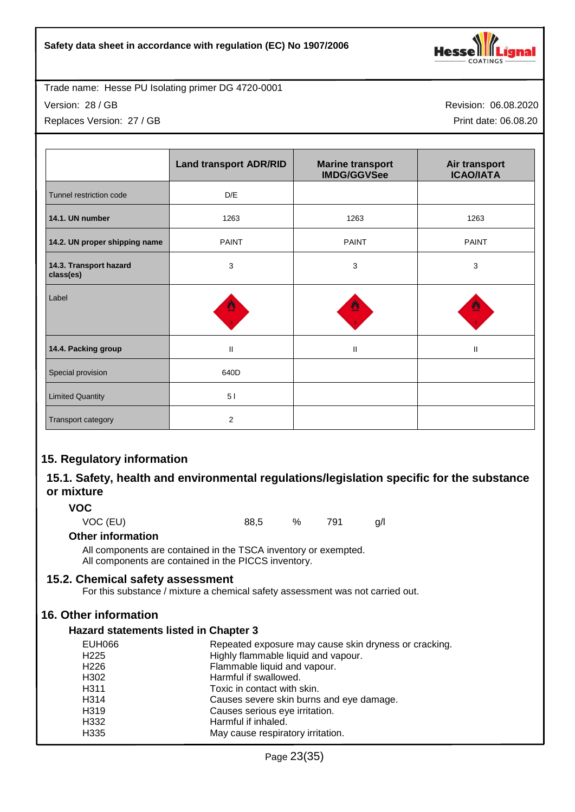

Version: 28 / GB

Replaces Version: 27 / GB

Revision: 06.08.2020 Print date: 06.08.20

|                                     | <b>Land transport ADR/RID</b> | <b>Marine transport</b><br><b>IMDG/GGVSee</b> | Air transport<br><b>ICAO/IATA</b> |
|-------------------------------------|-------------------------------|-----------------------------------------------|-----------------------------------|
| Tunnel restriction code             | D/E                           |                                               |                                   |
| 14.1. UN number                     | 1263                          | 1263                                          | 1263                              |
| 14.2. UN proper shipping name       | <b>PAINT</b>                  | <b>PAINT</b>                                  | <b>PAINT</b>                      |
| 14.3. Transport hazard<br>class(es) | 3                             | 3                                             | 3                                 |
| Label                               | ฃ                             |                                               |                                   |
| 14.4. Packing group                 | $\mathsf{I}$                  | $\mathbf{II}$                                 | Ш                                 |
| Special provision                   | 640D                          |                                               |                                   |
| <b>Limited Quantity</b>             | 51                            |                                               |                                   |
| Transport category                  | $\overline{2}$                |                                               |                                   |

# **15. Regulatory information**

# **15.1. Safety, health and environmental regulations/legislation specific for the substance or mixture**

# **VOC**

VOC (EU) 88,5 % 791 g/l

# **Other information**

All components are contained in the TSCA inventory or exempted. All components are contained in the PICCS inventory.

# **15.2. Chemical safety assessment**

For this substance / mixture a chemical safety assessment was not carried out.

# **16. Other information**

# **Hazard statements listed in Chapter 3**

| EUH066            | Repeated exposure may cause skin dryness or cracking. |
|-------------------|-------------------------------------------------------|
| H <sub>225</sub>  | Highly flammable liquid and vapour.                   |
| H <sub>226</sub>  | Flammable liquid and vapour.                          |
| H <sub>302</sub>  | Harmful if swallowed.                                 |
| H <sub>3</sub> 11 | Toxic in contact with skin.                           |
| H <sub>3</sub> 14 | Causes severe skin burns and eye damage.              |
| H <sub>3</sub> 19 | Causes serious eye irritation.                        |
| H332              | Harmful if inhaled.                                   |
| H <sub>335</sub>  | May cause respiratory irritation.                     |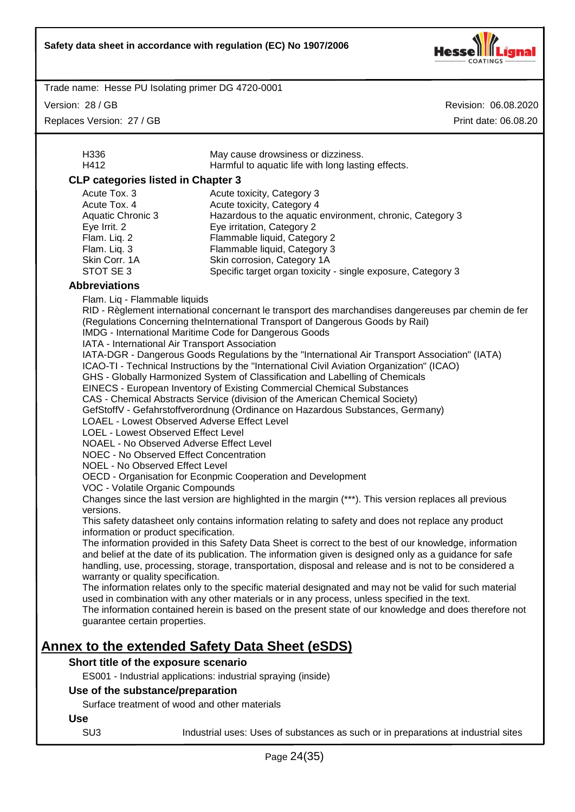

Version: 28 / GB

Replaces Version: 27 / GB

| H412<br><b>CLP categories listed in Chapter 3</b><br>Acute Tox. 3<br>Acute Tox. 4                                                                                                                                                                                                                                                                                                                                                                                        | Harmful to aquatic life with long lasting effects.                                                                                                                                                                                                                                                                                                                                                                                                                                                                                                                                                                                                                                                                                                                                                                                                                                                                                                                                                                                                                                                                                                                                                                                                                                                                                                                                                                                                                                                                                                                                                                                                                                                                    |
|--------------------------------------------------------------------------------------------------------------------------------------------------------------------------------------------------------------------------------------------------------------------------------------------------------------------------------------------------------------------------------------------------------------------------------------------------------------------------|-----------------------------------------------------------------------------------------------------------------------------------------------------------------------------------------------------------------------------------------------------------------------------------------------------------------------------------------------------------------------------------------------------------------------------------------------------------------------------------------------------------------------------------------------------------------------------------------------------------------------------------------------------------------------------------------------------------------------------------------------------------------------------------------------------------------------------------------------------------------------------------------------------------------------------------------------------------------------------------------------------------------------------------------------------------------------------------------------------------------------------------------------------------------------------------------------------------------------------------------------------------------------------------------------------------------------------------------------------------------------------------------------------------------------------------------------------------------------------------------------------------------------------------------------------------------------------------------------------------------------------------------------------------------------------------------------------------------------|
|                                                                                                                                                                                                                                                                                                                                                                                                                                                                          |                                                                                                                                                                                                                                                                                                                                                                                                                                                                                                                                                                                                                                                                                                                                                                                                                                                                                                                                                                                                                                                                                                                                                                                                                                                                                                                                                                                                                                                                                                                                                                                                                                                                                                                       |
| Aquatic Chronic 3<br>Eye Irrit. 2<br>Flam. Liq. 2<br>Flam. Liq. 3<br>Skin Corr. 1A<br>STOT SE 3                                                                                                                                                                                                                                                                                                                                                                          | Acute toxicity, Category 3<br>Acute toxicity, Category 4<br>Hazardous to the aquatic environment, chronic, Category 3<br>Eye irritation, Category 2<br>Flammable liquid, Category 2<br>Flammable liquid, Category 3<br>Skin corrosion, Category 1A<br>Specific target organ toxicity - single exposure, Category 3                                                                                                                                                                                                                                                                                                                                                                                                                                                                                                                                                                                                                                                                                                                                                                                                                                                                                                                                                                                                                                                                                                                                                                                                                                                                                                                                                                                                    |
| <b>Abbreviations</b>                                                                                                                                                                                                                                                                                                                                                                                                                                                     |                                                                                                                                                                                                                                                                                                                                                                                                                                                                                                                                                                                                                                                                                                                                                                                                                                                                                                                                                                                                                                                                                                                                                                                                                                                                                                                                                                                                                                                                                                                                                                                                                                                                                                                       |
| Flam. Liq - Flammable liquids<br>IATA - International Air Transport Association<br>LOAEL - Lowest Observed Adverse Effect Level<br>LOEL - Lowest Observed Effect Level<br>NOAEL - No Observed Adverse Effect Level<br><b>NOEC - No Observed Effect Concentration</b><br>NOEL - No Observed Effect Level<br>VOC - Volatile Organic Compounds<br>versions.<br>information or product specification.<br>warranty or quality specification.<br>guarantee certain properties. | RID - Règlement international concernant le transport des marchandises dangereuses par chemin de fer<br>(Regulations Concerning theInternational Transport of Dangerous Goods by Rail)<br>IMDG - International Maritime Code for Dangerous Goods<br>IATA-DGR - Dangerous Goods Regulations by the "International Air Transport Association" (IATA)<br>ICAO-TI - Technical Instructions by the "International Civil Aviation Organization" (ICAO)<br>GHS - Globally Harmonized System of Classification and Labelling of Chemicals<br>EINECS - European Inventory of Existing Commercial Chemical Substances<br>CAS - Chemical Abstracts Service (division of the American Chemical Society)<br>GefStoffV - Gefahrstoffverordnung (Ordinance on Hazardous Substances, Germany)<br>OECD - Organisation for Econpmic Cooperation and Development<br>Changes since the last version are highlighted in the margin (***). This version replaces all previous<br>This safety datasheet only contains information relating to safety and does not replace any product<br>The information provided in this Safety Data Sheet is correct to the best of our knowledge, information<br>and belief at the date of its publication. The information given is designed only as a guidance for safe<br>handling, use, processing, storage, transportation, disposal and release and is not to be considered a<br>The information relates only to the specific material designated and may not be valid for such material<br>used in combination with any other materials or in any process, unless specified in the text.<br>The information contained herein is based on the present state of our knowledge and does therefore not |
|                                                                                                                                                                                                                                                                                                                                                                                                                                                                          | <u>Annex to the extended Safety Data Sheet (eSDS)</u>                                                                                                                                                                                                                                                                                                                                                                                                                                                                                                                                                                                                                                                                                                                                                                                                                                                                                                                                                                                                                                                                                                                                                                                                                                                                                                                                                                                                                                                                                                                                                                                                                                                                 |
| Short title of the exposure scenario                                                                                                                                                                                                                                                                                                                                                                                                                                     |                                                                                                                                                                                                                                                                                                                                                                                                                                                                                                                                                                                                                                                                                                                                                                                                                                                                                                                                                                                                                                                                                                                                                                                                                                                                                                                                                                                                                                                                                                                                                                                                                                                                                                                       |
|                                                                                                                                                                                                                                                                                                                                                                                                                                                                          | ES001 - Industrial applications: industrial spraying (inside)                                                                                                                                                                                                                                                                                                                                                                                                                                                                                                                                                                                                                                                                                                                                                                                                                                                                                                                                                                                                                                                                                                                                                                                                                                                                                                                                                                                                                                                                                                                                                                                                                                                         |
| Use of the substance/preparation                                                                                                                                                                                                                                                                                                                                                                                                                                         |                                                                                                                                                                                                                                                                                                                                                                                                                                                                                                                                                                                                                                                                                                                                                                                                                                                                                                                                                                                                                                                                                                                                                                                                                                                                                                                                                                                                                                                                                                                                                                                                                                                                                                                       |
| Surface treatment of wood and other materials                                                                                                                                                                                                                                                                                                                                                                                                                            |                                                                                                                                                                                                                                                                                                                                                                                                                                                                                                                                                                                                                                                                                                                                                                                                                                                                                                                                                                                                                                                                                                                                                                                                                                                                                                                                                                                                                                                                                                                                                                                                                                                                                                                       |
| <b>Use</b>                                                                                                                                                                                                                                                                                                                                                                                                                                                               |                                                                                                                                                                                                                                                                                                                                                                                                                                                                                                                                                                                                                                                                                                                                                                                                                                                                                                                                                                                                                                                                                                                                                                                                                                                                                                                                                                                                                                                                                                                                                                                                                                                                                                                       |
| SU <sub>3</sub>                                                                                                                                                                                                                                                                                                                                                                                                                                                          | Industrial uses: Uses of substances as such or in preparations at industrial sites                                                                                                                                                                                                                                                                                                                                                                                                                                                                                                                                                                                                                                                                                                                                                                                                                                                                                                                                                                                                                                                                                                                                                                                                                                                                                                                                                                                                                                                                                                                                                                                                                                    |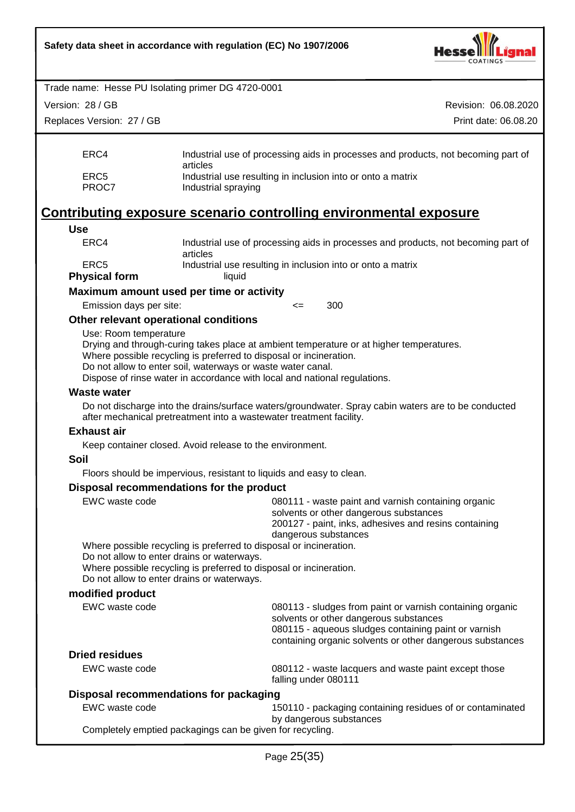

| Trade name: Hesse PU Isolating primer DG 4720-0001                |                                                                                                                                                                                                                                      |        |                                                                                                                                                                                |                                                                                   |
|-------------------------------------------------------------------|--------------------------------------------------------------------------------------------------------------------------------------------------------------------------------------------------------------------------------------|--------|--------------------------------------------------------------------------------------------------------------------------------------------------------------------------------|-----------------------------------------------------------------------------------|
| Version: 28 / GB                                                  |                                                                                                                                                                                                                                      |        |                                                                                                                                                                                | Revision: 06.08.2020                                                              |
| Replaces Version: 27 / GB                                         |                                                                                                                                                                                                                                      |        |                                                                                                                                                                                | Print date: 06.08.20                                                              |
| ERC4                                                              | articles                                                                                                                                                                                                                             |        |                                                                                                                                                                                | Industrial use of processing aids in processes and products, not becoming part of |
| ERC <sub>5</sub><br>PROC7                                         | Industrial spraying                                                                                                                                                                                                                  |        | Industrial use resulting in inclusion into or onto a matrix                                                                                                                    |                                                                                   |
| Contributing exposure scenario controlling environmental exposure |                                                                                                                                                                                                                                      |        |                                                                                                                                                                                |                                                                                   |
| <b>Use</b>                                                        |                                                                                                                                                                                                                                      |        |                                                                                                                                                                                |                                                                                   |
| ERC4                                                              | articles                                                                                                                                                                                                                             |        |                                                                                                                                                                                | Industrial use of processing aids in processes and products, not becoming part of |
| ERC <sub>5</sub>                                                  |                                                                                                                                                                                                                                      |        | Industrial use resulting in inclusion into or onto a matrix                                                                                                                    |                                                                                   |
| <b>Physical form</b>                                              | liquid                                                                                                                                                                                                                               |        |                                                                                                                                                                                |                                                                                   |
| Maximum amount used per time or activity                          |                                                                                                                                                                                                                                      |        |                                                                                                                                                                                |                                                                                   |
| Emission days per site:                                           |                                                                                                                                                                                                                                      | $\leq$ | 300                                                                                                                                                                            |                                                                                   |
| Other relevant operational conditions<br>Use: Room temperature    | Where possible recycling is preferred to disposal or incineration.<br>Do not allow to enter soil, waterways or waste water canal.<br>Dispose of rinse water in accordance with local and national regulations.                       |        | Drying and through-curing takes place at ambient temperature or at higher temperatures.                                                                                        |                                                                                   |
| <b>Waste water</b>                                                |                                                                                                                                                                                                                                      |        |                                                                                                                                                                                |                                                                                   |
|                                                                   | after mechanical pretreatment into a wastewater treatment facility.                                                                                                                                                                  |        | Do not discharge into the drains/surface waters/groundwater. Spray cabin waters are to be conducted                                                                            |                                                                                   |
| <b>Exhaust air</b>                                                |                                                                                                                                                                                                                                      |        |                                                                                                                                                                                |                                                                                   |
|                                                                   | Keep container closed. Avoid release to the environment.                                                                                                                                                                             |        |                                                                                                                                                                                |                                                                                   |
| <b>Soil</b>                                                       |                                                                                                                                                                                                                                      |        |                                                                                                                                                                                |                                                                                   |
|                                                                   | Floors should be impervious, resistant to liquids and easy to clean.                                                                                                                                                                 |        |                                                                                                                                                                                |                                                                                   |
| Disposal recommendations for the product                          |                                                                                                                                                                                                                                      |        |                                                                                                                                                                                |                                                                                   |
| <b>EWC</b> waste code                                             |                                                                                                                                                                                                                                      |        | 080111 - waste paint and varnish containing organic<br>solvents or other dangerous substances<br>200127 - paint, inks, adhesives and resins containing<br>dangerous substances |                                                                                   |
|                                                                   | Where possible recycling is preferred to disposal or incineration.<br>Do not allow to enter drains or waterways.<br>Where possible recycling is preferred to disposal or incineration.<br>Do not allow to enter drains or waterways. |        |                                                                                                                                                                                |                                                                                   |
| modified product                                                  |                                                                                                                                                                                                                                      |        |                                                                                                                                                                                |                                                                                   |
| EWC waste code                                                    |                                                                                                                                                                                                                                      |        | 080113 - sludges from paint or varnish containing organic<br>solvents or other dangerous substances<br>080115 - aqueous sludges containing paint or varnish                    | containing organic solvents or other dangerous substances                         |
| <b>Dried residues</b>                                             |                                                                                                                                                                                                                                      |        |                                                                                                                                                                                |                                                                                   |
| EWC waste code                                                    |                                                                                                                                                                                                                                      |        | 080112 - waste lacquers and waste paint except those<br>falling under 080111                                                                                                   |                                                                                   |
| Disposal recommendations for packaging                            |                                                                                                                                                                                                                                      |        |                                                                                                                                                                                |                                                                                   |
| EWC waste code                                                    |                                                                                                                                                                                                                                      |        | by dangerous substances                                                                                                                                                        | 150110 - packaging containing residues of or contaminated                         |
|                                                                   | Completely emptied packagings can be given for recycling.                                                                                                                                                                            |        |                                                                                                                                                                                |                                                                                   |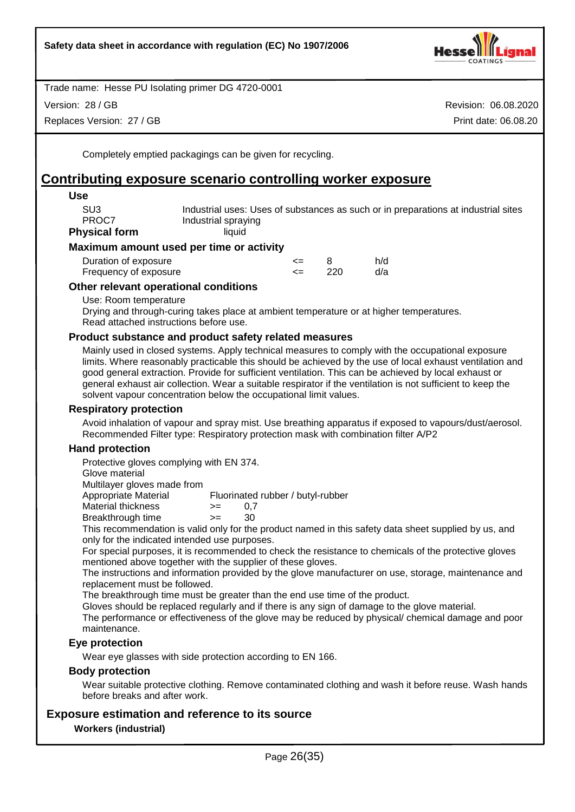

Version: 28 / GB

Replaces Version: 27 / GB

Revision: 06.08.2020 Print date: 06.08.20

Completely emptied packagings can be given for recycling.

# **Contributing exposure scenario controlling worker exposure**

| <b>Use</b>                                                                                                                                                                                                                                                                                                                                                                                                                           |                     |        |     |                                                                                    |  |
|--------------------------------------------------------------------------------------------------------------------------------------------------------------------------------------------------------------------------------------------------------------------------------------------------------------------------------------------------------------------------------------------------------------------------------------|---------------------|--------|-----|------------------------------------------------------------------------------------|--|
| SU <sub>3</sub><br>PROC7                                                                                                                                                                                                                                                                                                                                                                                                             | Industrial spraying |        |     | Industrial uses: Uses of substances as such or in preparations at industrial sites |  |
| <b>Physical form</b>                                                                                                                                                                                                                                                                                                                                                                                                                 | liquid              |        |     |                                                                                    |  |
| Maximum amount used per time or activity                                                                                                                                                                                                                                                                                                                                                                                             |                     |        |     |                                                                                    |  |
| Duration of exposure                                                                                                                                                                                                                                                                                                                                                                                                                 |                     | $\leq$ | 8   | h/d                                                                                |  |
| Frequency of exposure                                                                                                                                                                                                                                                                                                                                                                                                                |                     | $\leq$ | 220 | d/a                                                                                |  |
| Other relevant operational conditions                                                                                                                                                                                                                                                                                                                                                                                                |                     |        |     |                                                                                    |  |
| Use: Room temperature<br>Drying and through-curing takes place at ambient temperature or at higher temperatures.<br>Read attached instructions before use.                                                                                                                                                                                                                                                                           |                     |        |     |                                                                                    |  |
| Product substance and product safety related measures                                                                                                                                                                                                                                                                                                                                                                                |                     |        |     |                                                                                    |  |
| Mainly used in closed systems. Apply technical measures to comply with the occupational exposure<br>limits. Where reasonably practicable this should be achieved by the use of local exhaust ventilation and<br>good general extraction. Provide for sufficient ventilation. This can be achieved by local exhaust or<br>general exhaust air collection. Wear a suitable respirator if the ventilation is not sufficient to keep the |                     |        |     |                                                                                    |  |

solvent vapour concentration below the occupational limit values.

#### **Respiratory protection**

Avoid inhalation of vapour and spray mist. Use breathing apparatus if exposed to vapours/dust/aerosol. Recommended Filter type: Respiratory protection mask with combination filter A/P2

# **Hand protection**

Protective gloves complying with EN 374.

Glove material

Multilayer gloves made from

Appropriate Material Fluorinated rubber / butyl-rubber

Material thickness  $\rightarrow$  = 0,7

Breakthrough time >= 30

This recommendation is valid only for the product named in this safety data sheet supplied by us, and only for the indicated intended use purposes.

For special purposes, it is recommended to check the resistance to chemicals of the protective gloves mentioned above together with the supplier of these gloves.

The instructions and information provided by the glove manufacturer on use, storage, maintenance and replacement must be followed.

The breakthrough time must be greater than the end use time of the product.

Gloves should be replaced regularly and if there is any sign of damage to the glove material.

The performance or effectiveness of the glove may be reduced by physical/ chemical damage and poor maintenance.

# **Eye protection**

Wear eye glasses with side protection according to EN 166.

#### **Body protection**

Wear suitable protective clothing. Remove contaminated clothing and wash it before reuse. Wash hands before breaks and after work.

# **Exposure estimation and reference to its source**

#### **Workers (industrial)**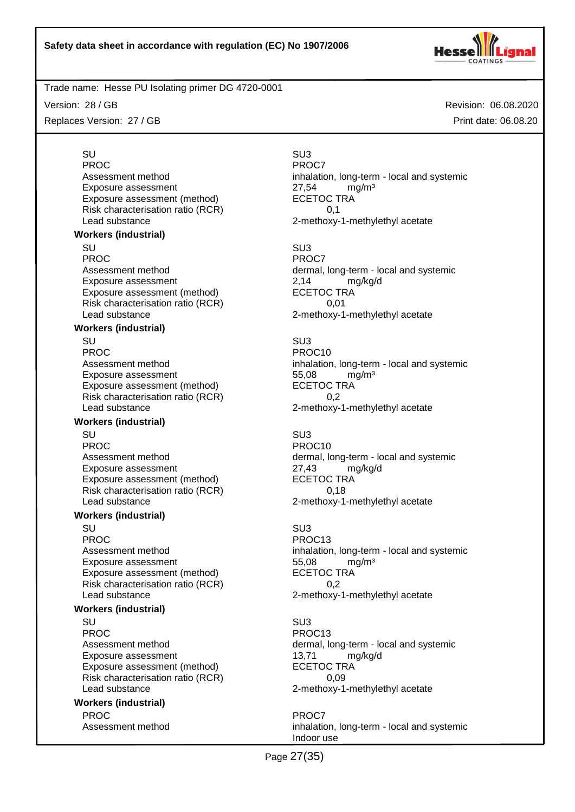

Version: 28 / GB

Replaces Version: 27 / GB

Revision: 06.08.2020 Print date: 06.08.20

# SU SU3 PROC<sup>PROC</sup> PROC7 Exposure assessment  $27,54$  mg/m<sup>3</sup><br>Exposure assessment (method) ECETOC TRA Exposure assessment (method) Risk characterisation ratio (RCR) 0,1 Lead substance 2-methoxy-1-methylethyl acetate **Workers (industrial)** SU SU3 PROC PROCT PROCT Exposure assessment <br>
Exposure assessment (method) 
<br>
ECETOC TRA Exposure assessment (method) Risk characterisation ratio (RCR) 0,01 Lead substance **2-methoxy-1-methylethyl** acetate **Workers (industrial)** SU SU3 PROC PROCTES PROCTES PROCTES PROCTES Exposure assessment and the three states of the S5,08 mg/m<sup>3</sup><br>Exposure assessment (method) exposure the SCETOC TRA Exposure assessment (method) Risk characterisation ratio (RCR) 0,2 Lead substance example 2-methoxy-1-methylethyl acetate **Workers (industrial)** SU SU3 PROC PROCTER PROCTER PROCTER PROCTER PROCTER PROCTER PROCTER PROCTER PROCTER PROCTER PROCTER PROCTER PROCTER PROCTER PROCTER PROCTER PROCTER PROCTER PROCTER PROCTER PROCTER PROCTER PROCTER PROCTER PROCTER PROCTER PROCTER P Exposure assessment <br>
Exposure assessment (method) 
<br>
ECETOC TRA Exposure assessment (method) Risk characterisation ratio (RCR) 0,18 Lead substance 2-methoxy-1-methylethyl acetate

#### **Workers (industrial)**

SU SU3 PROC PROC13 Exposure assessment diffusive to the S5,08 mg/m<sup>3</sup><br>Exposure assessment (method) ECETOC TRA Exposure assessment (method) Risk characterisation ratio (RCR) 0,2 Lead substance **2-methoxy-1-methylethyl** acetate

#### **Workers (industrial)**

SU SU3 PROC PROC13 Exposure assessment and the 13,71 mg/kg/d Exposure assessment (method) ECETOC TRA Risk characterisation ratio (RCR) 0,09 Lead substance 2-methoxy-1-methylethyl acetate

# **Workers (industrial)**

PROC<sup>P</sup> PROC7

Assessment method inhalation, long-term - local and systemic

Assessment method dermal, long-term - local and systemic

Assessment method inhalation, long-term - local and systemic

Assessment method dermal, long-term - local and systemic

Assessment method inhalation, long-term - local and systemic

Assessment method dermal, long-term - local and systemic

Assessment method inhalation, long-term - local and systemic Indoor use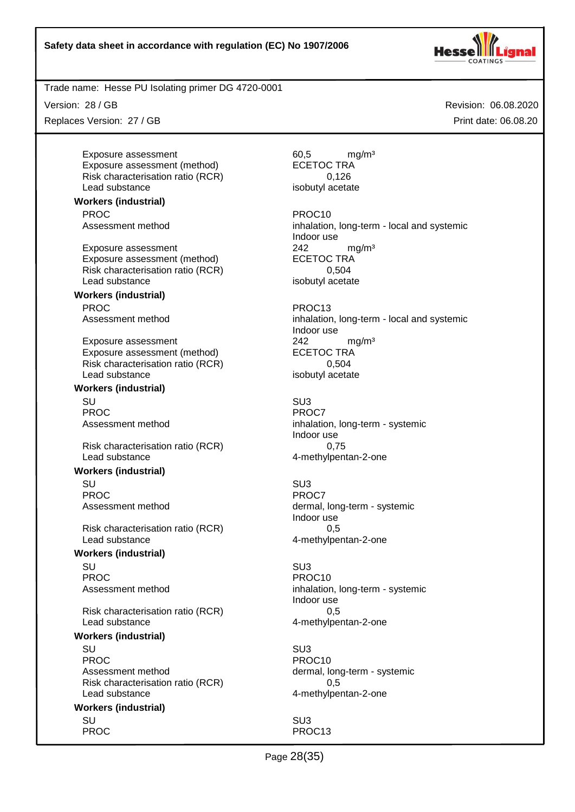

Trade name: Hesse PU Isolating primer DG 4720-0001

Version: 28 / GB

Replaces Version: 27 / GB

Assessment method inhalation, long-term - local and systemic Indoor use

Assessment method inhalation, long-term - local and systemic Indoor use

Assessment method inhalation, long-term - systemic Indoor use

Assessment method dermal, long-term - systemic Indoor use

Assessment method inhalation, long-term - systemic Indoor use

Page 28(35)

Exposure assessment and the control of the formulation of the formulation of the formulation of the formulation of the formulation of the formulation of the formulation of the formulation of the formulation of the formulat

Risk characterisation ratio (RCR) 0,126<br>Lead substance isobutyl acetate Lead substance **Workers (industrial)** PROC PROC10

Exposure assessment (method)

Exposure assessment<br>
Exposure assessment (method) 
<br>
ECETOC TRA Exposure assessment (method) Risk characterisation ratio (RCR) 0,504 Lead substance

**Workers (industrial)** PROC PROC13

Exposure assessment 242 mg/m<sup>3</sup> Exposure assessment (method) ECETOC TRA Risk characterisation ratio (RCR) 0,504 Lead substance isobutyl acetate

# **Workers (industrial)**

SU SU3 PROC<sup>P</sup> PROCT PROCT

Risk characterisation ratio (RCR) 0,75 Lead substance and the 4-methylpentan-2-one

#### **Workers (industrial)**

SU SU3 PROC<sup>P</sup> PROCT PROCT

Risk characterisation ratio (RCR) 0,5 Lead substance example and the 4-methylpentan-2-one

#### **Workers (industrial)**

SU SU3 PROC PROCTES PROCTES PROCTES

Risk characterisation ratio (RCR) 0,5 Lead substance and the 4-methylpentan-2-one

#### **Workers (industrial)**

SU SU3 PROC PROCTER PROCTER PROCTER PROCTER PROCTER PROCTER PROCTER PROCTER PROCTER PROCTER PROCTER PROCTER PROCTER PROCTER PROCTER PROCTER PROCTER PROCTER PROCTER PROCTER PROCTER PROCTER PROCTER PROCTER PROCTER PROCTER PROCTER P Assessment method dermal, long-term - systemic Risk characterisation ratio (RCR) 0,5 Lead substance and the 4-methylpentan-2-one

#### **Workers (industrial)**

SU SU3 PROC PROC13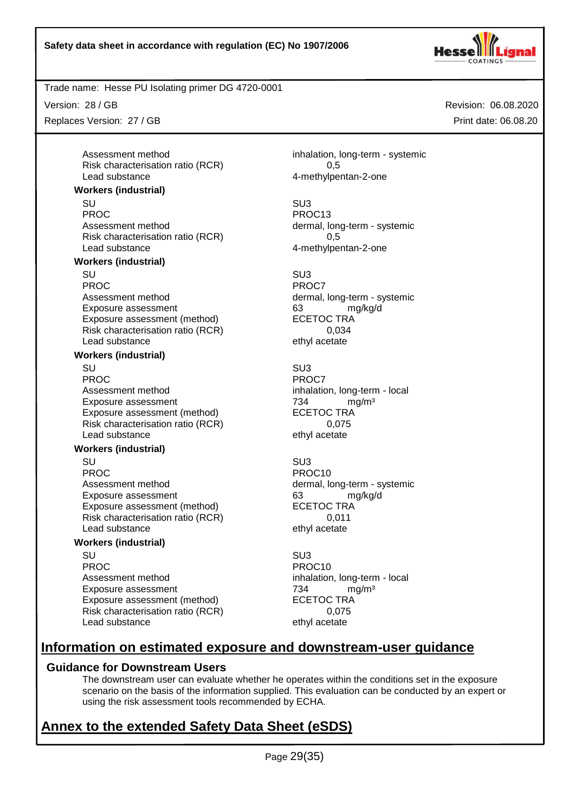

Revision: 06.08.2020

Print date: 06.08.20

Trade name: Hesse PU Isolating primer DG 4720-0001

Version: 28 / GB

Replaces Version: 27 / GB

Assessment method inhalation, long-term - systemic

# **Information on estimated exposure and downstream-user guidance**

# **Guidance for Downstream Users**

The downstream user can evaluate whether he operates within the conditions set in the exposure scenario on the basis of the information supplied. This evaluation can be conducted by an expert or using the risk assessment tools recommended by ECHA.

# **Annex to the extended Safety Data Sheet (eSDS)**

Risk characterisation ratio (RCR) 0.5 Lead substance and the 4-methylpentan-2-one

#### **Workers (industrial)**

SU SU3 PROC PROC13 Assessment method dermal, long-term - systemic Risk characterisation ratio (RCR) 0,5 Lead substance **4-methylpentan-2-one** 

#### **Workers (industrial)**

SU SU3 PROC<sup>PROC</sup> PROC7 Assessment method dermal, long-term - systemic Exposure assessment determines and the state of the state of the manuform of the state of the state of the sta<br>
ECETOC TRA Exposure assessment (method) Risk characterisation ratio (RCR) 0,034 Lead substance ethyl acetate

#### **Workers (industrial)**

SU SU3 PROC PROCT PROCT PROCT Assessment method inhalation, long-term - local Exposure assessment and the matrix of the Taylor and Taylor and Taylor and Taylor and Taylor and Taylor and Taylor and Taylor and Taylor and Taylor and Taylor and Taylor and Taylor and Taylor and Taylor and Taylor and Tayl Exposure assessment (method) ECETOC TRA Risk characterisation ratio (RCR) 0,075 Lead substance ethyl acetate

# **Workers (industrial)**

SU SU3 PROC PROCTES PROCTES Assessment method dermal, long-term - systemic Exposure assessment 63 mg/kg/d Exposure assessment (method) ECETOC TRA Risk characterisation ratio (RCR) 0,011<br>Lead substance ethyl acetate Lead substance

# **Workers (industrial)**

SU SU3 PROC PROCHES PROC10 Assessment method inhalation, long-term - local Exposure assessment <br>Exposure assessment (method) ECETOC TRA Exposure assessment (method) Risk characterisation ratio (RCR) 0,075 Lead substance ethyl acetate

Page 29(35)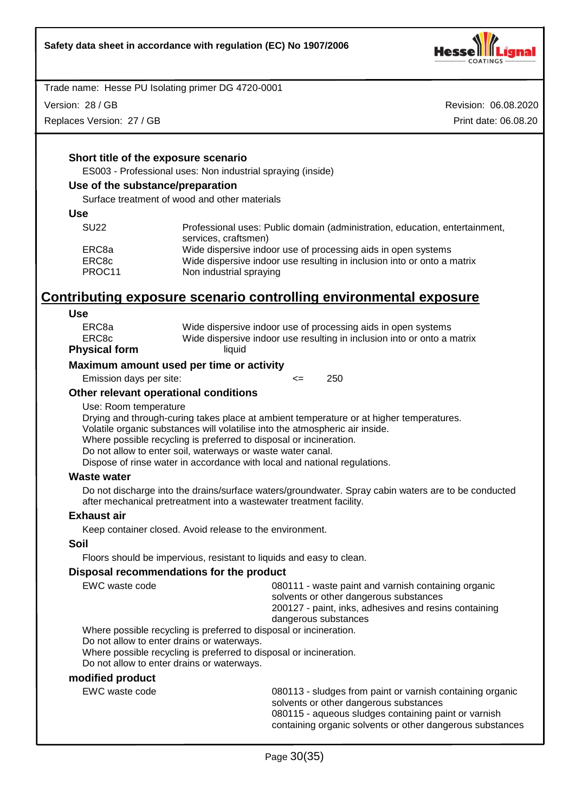

Version: 28 / GB

Replaces Version: 27 / GB

Revision: 06.08.2020 Print date: 06.08.20

#### **Short title of the exposure scenario**

ES003 - Professional uses: Non industrial spraying (inside)

#### **Use of the substance/preparation**

Surface treatment of wood and other materials

#### **Use**

| <b>SU22</b> | Professional uses: Public domain (administration, education, entertainment, |
|-------------|-----------------------------------------------------------------------------|
|             | services, craftsmen)                                                        |
| ERC8a       | Wide dispersive indoor use of processing aids in open systems               |
| ERC8c       | Wide dispersive indoor use resulting in inclusion into or onto a matrix     |
| PROC11      | Non industrial spraying                                                     |

# **Contributing exposure scenario controlling environmental exposure**

#### **Use**

| Physical form | liquid                                                                  |
|---------------|-------------------------------------------------------------------------|
| ERC8c         | Wide dispersive indoor use resulting in inclusion into or onto a matrix |
| ERC8a         | Wide dispersive indoor use of processing aids in open systems           |

#### **Maximum amount used per time or activity**

Emission days per site: <= 250

#### **Other relevant operational conditions**

Use: Room temperature

Drying and through-curing takes place at ambient temperature or at higher temperatures. Volatile organic substances will volatilise into the atmospheric air inside.

Where possible recycling is preferred to disposal or incineration.

Do not allow to enter soil, waterways or waste water canal.

Dispose of rinse water in accordance with local and national regulations.

#### **Waste water**

Do not discharge into the drains/surface waters/groundwater. Spray cabin waters are to be conducted after mechanical pretreatment into a wastewater treatment facility.

# **Exhaust air**

Keep container closed. Avoid release to the environment.

#### **Soil**

Floors should be impervious, resistant to liquids and easy to clean.

#### **Disposal recommendations for the product**

EWC waste code 080111 - waste paint and varnish containing organic solvents or other dangerous substances 200127 - paint, inks, adhesives and resins containing dangerous substances

Where possible recycling is preferred to disposal or incineration.

Do not allow to enter drains or waterways.

Where possible recycling is preferred to disposal or incineration.

Do not allow to enter drains or waterways.

#### **modified product**

EWC waste code 080113 - sludges from paint or varnish containing organic solvents or other dangerous substances 080115 - aqueous sludges containing paint or varnish containing organic solvents or other dangerous substances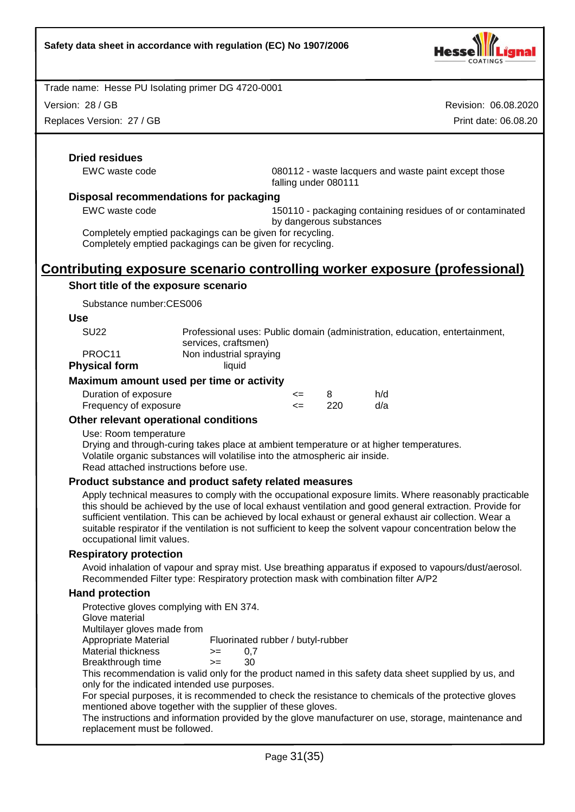

Version: 28 / GB

Replaces Version: 27 / GB

Revision: 06.08.2020 Print date: 06.08.20

# **Dried residues**

EWC waste code 080112 - waste lacquers and waste paint except those falling under 080111

#### **Disposal recommendations for packaging**

EWC waste code 150110 - packaging containing residues of or contaminated by dangerous substances

Completely emptied packagings can be given for recycling. Completely emptied packagings can be given for recycling.

# **Contributing exposure scenario controlling worker exposure (professional)**

# **Short title of the exposure scenario**

Substance number:CES006

**Use**

| SU <sub>22</sub>     | Professional uses: Public domain (administration, education, entertainment, |
|----------------------|-----------------------------------------------------------------------------|
|                      | services, craftsmen)                                                        |
| PROC <sub>11</sub>   | Non industrial spraying                                                     |
| <b>Physical form</b> | liauid                                                                      |

#### **Maximum amount used per time or activity**

| Duration of exposure  | <= |      | h/d |
|-----------------------|----|------|-----|
| Frequency of exposure |    | -220 | d/a |

# **Other relevant operational conditions**

Use: Room temperature

Drying and through-curing takes place at ambient temperature or at higher temperatures. Volatile organic substances will volatilise into the atmospheric air inside. Read attached instructions before use.

# **Product substance and product safety related measures**

Apply technical measures to comply with the occupational exposure limits. Where reasonably practicable this should be achieved by the use of local exhaust ventilation and good general extraction. Provide for sufficient ventilation. This can be achieved by local exhaust or general exhaust air collection. Wear a suitable respirator if the ventilation is not sufficient to keep the solvent vapour concentration below the occupational limit values.

#### **Respiratory protection**

Avoid inhalation of vapour and spray mist. Use breathing apparatus if exposed to vapours/dust/aerosol. Recommended Filter type: Respiratory protection mask with combination filter A/P2

# **Hand protection**

| Protective gloves complying with EN 374.                    |      |                                                                                                       |
|-------------------------------------------------------------|------|-------------------------------------------------------------------------------------------------------|
| Glove material                                              |      |                                                                                                       |
| Multilayer gloves made from                                 |      |                                                                                                       |
| Appropriate Material                                        |      | Fluorinated rubber / butyl-rubber                                                                     |
| Material thickness                                          | $>=$ | 0,7                                                                                                   |
| Breakthrough time                                           | $>=$ | 30                                                                                                    |
| only for the indicated intended use purposes.               |      | This recommendation is valid only for the product named in this safety data sheet supplied by us, and |
| mentioned above together with the supplier of these gloves. |      | For special purposes, it is recommended to check the resistance to chemicals of the protective gloves |
| replacement must be followed.                               |      | The instructions and information provided by the glove manufacturer on use, storage, maintenance and  |
|                                                             |      |                                                                                                       |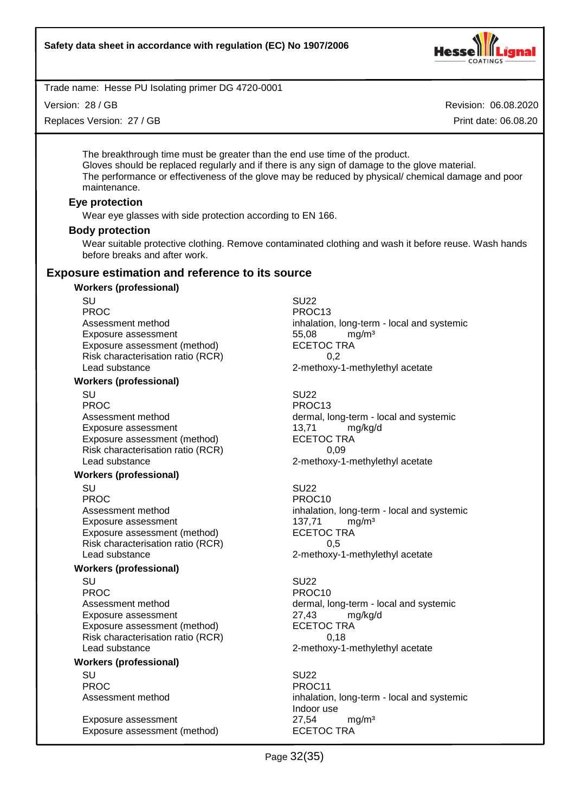

Version: 28 / GB

Replaces Version: 27 / GB

Revision: 06.08.2020

Print date: 06.08.20

The breakthrough time must be greater than the end use time of the product. Gloves should be replaced regularly and if there is any sign of damage to the glove material. The performance or effectiveness of the glove may be reduced by physical/ chemical damage and poor maintenance.

# **Eye protection**

Wear eye glasses with side protection according to EN 166.

# **Body protection**

Wear suitable protective clothing. Remove contaminated clothing and wash it before reuse. Wash hands before breaks and after work.

# **Exposure estimation and reference to its source**

# **Workers (professional)** SU SU22 PROC PROC13 Exposure assessment diffusive to the S5,08 mg/m<sup>3</sup><br>Exposure assessment (method) ECETOC TRA Exposure assessment (method) Risk characterisation ratio (RCR) 0,2 Lead substance 2-methoxy-1-methylethyl acetate **Workers (professional)** SU SU22 PROC PROCTER PROC13 Exposure assessment and the manufacture of the texposure assessment (method) and the texposure of the texposure  $\frac{13}{71}$  mg/kg/d Exposure assessment (method) Risk characterisation ratio (RCR) 0,09 Lead substance 2-methoxy-1-methylethyl acetate **Workers (professional)** SU SU22 PROC PROCTES PROCTES Exposure assessment 137,71 mg/m<sup>3</sup> Exposure assessment (method) ECETOC TRA Risk characterisation ratio (RCR) 0,5 Lead substance example 2-methoxy-1-methylethyl acetate **Workers (professional)** SU SU22 PROC PROC10 Exposure assessment<br>
Exposure assessment (method) exposure assessment (method) exposure assessment (method) Exposure assessment (method) Risk characterisation ratio (RCR) 0,18

**Workers (professional)**

SU SU22 PROC PROCTER PROCTER PROCTER PROCTER PROCTER PROCTER PROCTER PROCTER PROCTER PROCTER PROCTER PROCTER PROCTER PROCTER PROCTER PROCTER PROCTER PROCTER PROCTER PROCTER PROCTER PROCTER PROCTER PROCTER PROCTER PROCTER PROCTER P

Exposure assessment 27,54 mg/m<sup>3</sup> Exposure assessment (method) ECETOC TRA

Assessment method inhalation, long-term - local and systemic

Assessment method dermal, long-term - local and systemic

Assessment method inhalation, long-term - local and systemic

Assessment method dermal, long-term - local and systemic Lead substance **2-methoxy-1-methylethyl** acetate

Assessment method inhalation, long-term - local and systemic Indoor use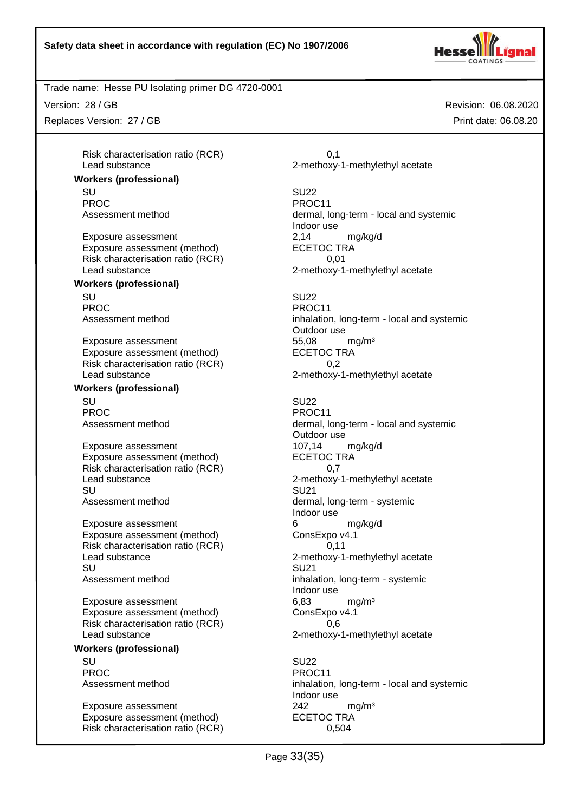

Revision: 06.08.2020

Print date: 06.08.20

Trade name: Hesse PU Isolating primer DG 4720-0001

Version: 28 / GB

Replaces Version: 27 / GB

Risk characterisation ratio (RCR) 0,1 Lead substance 2-methoxy-1-methylethyl acetate

**Workers (professional)** SU SU22

PROC PROC11

Exposure assessment <br>
Exposure assessment (method) 
<br>
ECETOC TRA Exposure assessment (method) Risk characterisation ratio (RCR) 0,01 Lead substance 2-methoxy-1-methylethyl acetate

#### **Workers (professional)**

SU SU22 PROC PROC11

Exposure assessment 655,08 mg/m<sup>3</sup> Exposure assessment (method) ECETOC TRA Risk characterisation ratio (RCR) 0,2<br>Lead substance 2-methoxy-

#### **Workers (professional)**

SU SU22 PROC PROCTER PROCTER PROCTER PROCTER PROCTER PROCTER PROCTER PROCTER PROCTER PROCTER PROCTER PROCTER PROCTER PROCTER PROCTER PROCTER PROCTER PROCTER PROCTER PROCTER PROCTER PROCTER PROCTER PROCTER PROCTER PROCTER PROCTER P

Exposure assessment 107,14 mg/kg/d Exposure assessment (method) ECETOC TRA Risk characterisation ratio (RCR) 0,7<br>Lead substance 2-methoxy-SU SU21 Assessment method dermal, long-term - systemic

Exposure assessment detection of the match of the match of the match match match match match match m<br>
Exposure assessment (method) consExpo v4.1 Exposure assessment (method) Risk characterisation ratio (RCR) 0,11 Lead substance example 2-methoxy-1-methylethyl acetate SU SU21 Assessment method inhalation, long-term - systemic

Exposure assessment 6,83 mg/m<sup>3</sup><br>Exposure assessment (method) ConsExpo v4.1 Exposure assessment (method) Risk characterisation ratio (RCR) 0,6 Lead substance 2-methoxy-1-methylethyl acetate

**Workers (professional)**

SU SU22 PROC PROCTER PROCTER PROCTER PROCTER PROCTER PROCTER PROCTER PROCTER PROCTER PROCTER PROCTER PROCTER PROCTER PROCTER PROCTER PROCTER PROCTER PROCTER PROCTER PROCTER PROCTER PROCTER PROCTER PROCTER PROCTER PROCTER PROCTER P

Exposure assessment 242 mg/m<sup>3</sup> Exposure assessment (method) ECETOC TRA Risk characterisation ratio (RCR) 0,504

Assessment method dermal, long-term - local and systemic Indoor use

Assessment method inhalation, long-term - local and systemic Outdoor use 2-methoxy-1-methylethyl acetate

Assessment method dermal, long-term - local and systemic Outdoor use 2-methoxy-1-methylethyl acetate Indoor use Indoor use

Assessment method inhalation, long-term - local and systemic Indoor use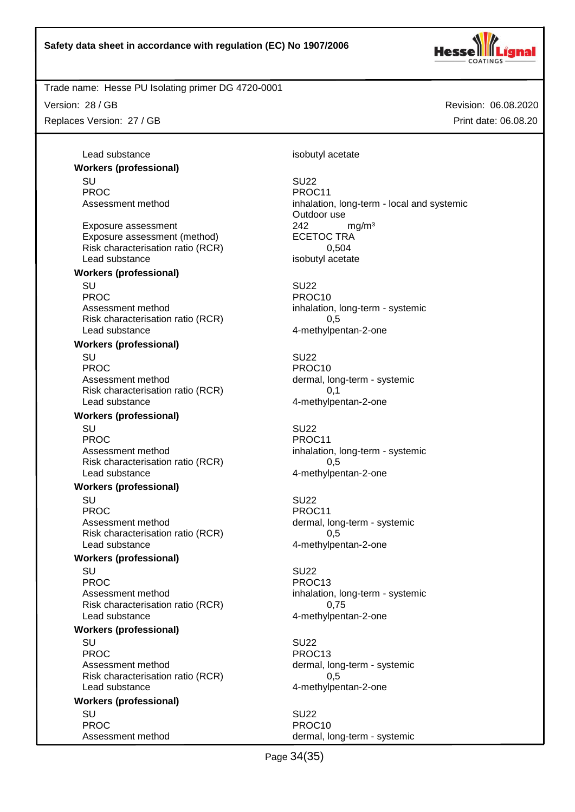

Trade name: Hesse PU Isolating primer DG 4720-0001

Version: 28 / GB Replaces Version: 27 / GB Revision: 06.08.2020 Print date: 06.08.20

Lead substance isobutyl acetate **Workers (professional)** SU SU22 PROC PROCTER PROC11 Assessment method inhalation, long-term - local and systemic Exposure assessment <br>
Exposure assessment (method) 
ECETOC TRA Exposure assessment (method) ECETOC TRA<br>Risk characterisation ratio (RCR) 6.504 Risk characterisation ratio (RCR) Lead substance isobutyl acetate **Workers (professional)** SU SU22 PROC PROCTER PROCTER PROCTER PROCTER PROCTER PROCTER PROCTER PROCTER PROCTER PROCTER PROCTER PROCTER PROCTER PROCTER PROCTER PROCTER PROCTER PROCTER PROCTER PROCTER PROCTER PROCTER PROCTER PROCTER PROCTER PROCTER PROCTER P Assessment method inhalation, long-term - systemic Risk characterisation ratio (RCR) 6.5 Lead substance and the 4-methylpentan-2-one **Workers (professional)** SU SU22 PROC PROC10 Assessment method dermal, long-term - systemic Risk characterisation ratio (RCR) 0,1 Lead substance example and the 4-methylpentan-2-one **Workers (professional)** SU SU22 PROC PROCTER PROCTER PROCTER PROCTER PROCTER PROCTER PROCTER PROCTER PROCTER PROCTER PROCTER PROCTER PROCTER PROCTER PROCTER PROCTER PROCTER PROCTER PROCTER PROCTER PROCTER PROCTER PROCTER PROCTER PROCTER PROCTER PROCTER P Assessment method inhalation, long-term - systemic Risk characterisation ratio (RCR) 0,5 Lead substance and the 4-methylpentan-2-one **Workers (professional)** SU SU22 PROC PROCHES PROCHES PROCHES PROCHES Assessment method dermal, long-term - systemic Risk characterisation ratio (RCR) 6.5 Lead substance and the 4-methylpentan-2-one **Workers (professional)** SU SU22 PROC PROC13 Assessment method inhalation, long-term - systemic Risk characterisation ratio (RCR) 0,75 Lead substance example and the 4-methylpentan-2-one **Workers (professional)** SU SU22 PROC PROCTER PROCTER PROCTER PROCTER PROCTER PROCTER PROCTER PROCTER PROCTER PROCTER PROCTER PROCTER PROCTER PROCTER PROCTER PROCTER PROCTER PROCTER PROCTER PROCTER PROCTER PROCTER PROCTER PROCTER PROCTER PROCTER PROCTER P Assessment method dermal, long-term - systemic Risk characterisation ratio (RCR) 0,5 Lead substance and the 4-methylpentan-2-one **Workers (professional)**

SU SU22 PROC PROCTER PROCTER PROCTER PROCTER PROCTER PROCTER PROCTER PROCTER PROCTER PROCTER PROCTER PROCTER PROCTER PROCTER PROCTER PROCTER PROCTER PROCTER PROCTER PROCTER PROCTER PROCTER PROCTER PROCTER PROCTER PROCTER PROCTER P

Outdoor use

Assessment method dermal, long-term - systemic

Page 34(35)